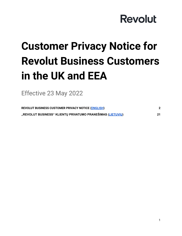# **Customer Privacy Notice for Revolut Business Customers in the UK and EEA**

Effective 23 May 2022

<span id="page-0-0"></span>

| REVOLUT BUSINESS CUSTOMER PRIVACY NOTICE (ENGLISH)         |    |
|------------------------------------------------------------|----|
| "REVOLUT BUSINESS" KLIENTŲ PRIVATUMO PRANEŠIMAS (LIETUVIŲ) | 21 |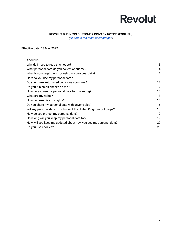### **REVOLUT BUSINESS CUSTOMER PRIVACY NOTICE (ENGLISH)**

*(Return to the table of [languages](#page-0-0))*

<span id="page-1-0"></span>Effective date: 23 May 2022

| About us                                                          | 3  |
|-------------------------------------------------------------------|----|
| Why do I need to read this notice?                                | 3  |
| What personal data do you collect about me?                       | 4  |
| What is your legal basis for using my personal data?              | 7  |
| How do you use my personal data?                                  | 8  |
| Do you make automated decisions about me?                         | 12 |
| Do you run credit checks on me?                                   | 12 |
| How do you use my personal data for marketing?                    | 13 |
| What are my rights?                                               | 13 |
| How do I exercise my rights?                                      | 15 |
| Do you share my personal data with anyone else?                   | 16 |
| Will my personal data go outside of the United Kingdom or Europe? | 18 |
| How do you protect my personal data?                              | 19 |
| How long will you keep my personal data for?                      | 19 |
| How will you keep me updated about how you use my personal data?  | 20 |
| Do you use cookies?                                               | 20 |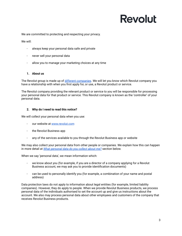We are committed to protecting and respecting your privacy.

We will:

- always keep your personal data safe and private
- never sell your personal data
- allow you to manage your marketing choices at any time

### <span id="page-2-0"></span>**1. About us**

The Revolut group is made up of different [companies](https://www.revolut.com/business/help/more/general/which-revolut-entities-offer-services). We will let you know which Revolut company you have a relationship with when you first apply for, or use, a Revolut product or service.

The Revolut company providing the relevant product or service to you will be responsible for processing your personal data for that product or service. This Revolut company is known as the 'controller' of your personal data.

### <span id="page-2-1"></span>**2. Why do I need to read this notice?**

We will collect your personal data when you use:

- our website at [www.revolut.com](https://www.revolut.com)
- the Revolut Business app
- any of the services available to you through the Revolut Business app or website

We may also collect your personal data from other people or companies. We explain how this can happen in more detail at *What [personal](#page-3-0) data do you collect about me?* section below.

When we say 'personal data', we mean information which:

- we know about you (for example, if you are a director of a company applying for a Revolut Business account, we may ask you to provide identification documents)
- can be used to personally identify you (for example, a combination of your name and postal address)

Data protection laws do not apply to information about legal entities (for example, limited liability companies). However, they do apply to people. When we provide Revolut Business products, we process personal data of the individuals authorised to set the account up and give us instructions about the account. We also may process personal data about other employees and customers of the company that receives Revolut Business products.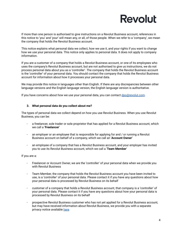If more than one person is authorised to give instructions on a Revolut Business account, references in this notice to 'you' and 'your' will mean any, or all, of those people. When we refer to a 'company', we mean the company that holds the Revolut Business account.

This notice explains what personal data we collect, how we use it, and your rights if you want to change how we use your personal data. This notice only applies to personal data. It does not apply to company information.

If you are a customer of a company that holds a Revolut Business account, or one of its employees who uses the company's Revolut Business account, but are not authorised to give us instructions, we do not process personal data about you as a 'controller'. The company that holds the Revolut Business account is the 'controller' of your personal data. You should contact the company that holds the Revolut Business account for information about how it processes your personal data.

We may provide this notice in languages other than English. If there are any discrepancies between other language versions and the English language version, the English language version is authoritative.

If you have concerns about how we use your personal data, you can contact [dpo@revolut.com](mailto:dpo@revolut.com).

### <span id="page-3-0"></span>**3. What personal data do you collect about me?**

The types of personal data we collect depend on how you use Revolut Business. When you use Revolut Business, you can be:

- a freelancer, sole trader or sole proprietor that has applied for a Revolut Business account, which we call a '**Freelancer**'
- an employer or an employee that is responsible for applying for and / or running a Revolut Business account on behalf of a company, which we call an '**Account Owner'**
- an employee of a company that has a Revolut Business account, and your employer has invited you to use its Revolut Business account, which we call a '**Team Member**'

If you are a:

- Freelancer or Account Owner, we are the 'controller' of your personal data when we provide you with Revolut Business
- Team Member, the company that holds the Revolut Business account you have been invited to use, is a 'controller' of your personal data. Please contact it if you have any questions about how your personal data is processed by Revolut Business on its behalf
- customer of a company that holds a Revolut Business account, that company is a 'controller' of your personal data. Please contact it if you have any questions about how your personal data is processed by Revolut Business on its behalf
- prospective Revolut Business customer who has not yet applied for a Revolut Business account, but may have received information about Revolut Business, we provide you with a separate privacy notice available [here](https://www.revolut.com/business/help/more/general/prospective-customer-privacy-notice)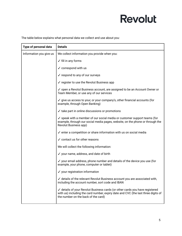The table below explains what personal data we collect and use about you:

| Type of personal data   | <b>Details</b>                                                                                                                                                                                           |
|-------------------------|----------------------------------------------------------------------------------------------------------------------------------------------------------------------------------------------------------|
| Information you give us | We collect information you provide when you:                                                                                                                                                             |
|                         | $\checkmark$ fill in any forms                                                                                                                                                                           |
|                         | $\checkmark$ correspond with us                                                                                                                                                                          |
|                         | ✓ respond to any of our surveys                                                                                                                                                                          |
|                         | $\checkmark$ register to use the Revolut Business app                                                                                                                                                    |
|                         | √ open a Revolut Business account, are assigned to be an Account Owner or<br>Team Member, or use any of our services                                                                                     |
|                         | √ give us access to your, or your company's, other financial accounts (for<br>example, through Open Banking)                                                                                             |
|                         | $\checkmark$ take part in online discussions or promotions                                                                                                                                               |
|                         | √ speak with a member of our social media or customer support teams (for<br>example, through our social media pages, website, on the phone or through the<br>Revolut Business app)                       |
|                         | $\checkmark$ enter a competition or share information with us on social media                                                                                                                            |
|                         | $\checkmark$ contact us for other reasons                                                                                                                                                                |
|                         | We will collect the following information:                                                                                                                                                               |
|                         | √ your name, address, and date of birth                                                                                                                                                                  |
|                         | $\checkmark$ your email address, phone number and details of the device you use (for<br>example, your phone, computer or tablet)                                                                         |
|                         | ✓ your registration information                                                                                                                                                                          |
|                         | ✓ details of the relevant Revolut Business account you are associated with,<br>including the account number, sort code and IBAN                                                                          |
|                         | ✓ details of your Revolut Business cards (or other cards you have registered<br>with us) including the card number, expiry date and CVC (the last three digits of<br>the number on the back of the card) |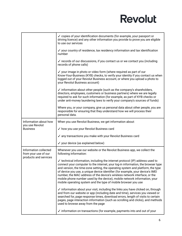|                                                                        | $\checkmark$ copies of your identification documents (for example, your passport or<br>driving licence) and any other information you provide to prove you are eligible<br>to use our services                                                                                                                                                                                                                                                                                                                                                                                 |
|------------------------------------------------------------------------|--------------------------------------------------------------------------------------------------------------------------------------------------------------------------------------------------------------------------------------------------------------------------------------------------------------------------------------------------------------------------------------------------------------------------------------------------------------------------------------------------------------------------------------------------------------------------------|
|                                                                        | ✓ your country of residence, tax residency information and tax identification<br>number                                                                                                                                                                                                                                                                                                                                                                                                                                                                                        |
|                                                                        | ✓ records of our discussions, if you contact us or we contact you (including<br>records of phone calls)                                                                                                                                                                                                                                                                                                                                                                                                                                                                        |
|                                                                        | $\checkmark$ your image in photo or video form (where required as part of our<br>Know-Your-Business (KYB) checks, to verify your identity if you contact us when<br>logged out of your Revolut Business account, or where you upload a photo to<br>your Revolut Business account)                                                                                                                                                                                                                                                                                              |
|                                                                        | $\checkmark$ information about other people (such as the company's shareholders,<br>directors, employees, customers or business partners) where we are legally<br>required to ask for such information (for example, as part of KYB checks or<br>under anti-money laundering laws to verify your company's sources of funds)                                                                                                                                                                                                                                                   |
|                                                                        | Where you, or your company, give us personal data about other people, you are<br>responsible for ensuring that they understand how we will process their<br>personal data.                                                                                                                                                                                                                                                                                                                                                                                                     |
| Information about how                                                  | When you use Revolut Business, we get information about:                                                                                                                                                                                                                                                                                                                                                                                                                                                                                                                       |
| you use Revolut<br><b>Business</b>                                     | ✓ how you use your Revolut Business card                                                                                                                                                                                                                                                                                                                                                                                                                                                                                                                                       |
|                                                                        | ✓ any transactions you make with your Revolut Business card                                                                                                                                                                                                                                                                                                                                                                                                                                                                                                                    |
|                                                                        | ✓ your device (as explained below)                                                                                                                                                                                                                                                                                                                                                                                                                                                                                                                                             |
| Information collected<br>from your use of our<br>products and services | Whenever you use our website or the Revolut Business app, we collect the<br>following information:                                                                                                                                                                                                                                                                                                                                                                                                                                                                             |
|                                                                        | $\checkmark$ technical information, including the internet protocol (IP) address used to<br>connect your computer to the internet, your log-in information, the browser type<br>and version, the time-zone setting, the operating system and platform, the type<br>of device you use, a unique device identifier (for example, your device's IMEI<br>number, the MAC address of the device's wireless network interface, or the<br>mobile phone number used by the device), mobile network information, your<br>mobile operating system and the type of mobile browser you use |
|                                                                        | ✓ information about your visit, including the links you have clicked on, through<br>and from our website or app (including date and time), services you viewed or<br>searched for, page response times, download errors, length of visits to certain<br>pages, page interaction information (such as scrolling and clicks), and methods<br>used to browse away from the page                                                                                                                                                                                                   |
|                                                                        | ✓ information on transactions (for example, payments into and out of your                                                                                                                                                                                                                                                                                                                                                                                                                                                                                                      |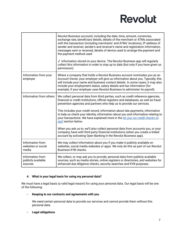|                                                   | Revolut Business account), including the date, time, amount, currencies,<br>exchange rate, beneficiary details, details of the merchant or ATMs associated<br>with the transaction (including merchants' and ATMs' locations), IP address of<br>sender and receiver, sender's and receiver's name and registration information,<br>messages sent or received, details of device used to arrange the payment and<br>the payment method used<br>✓ information stored on your device. The Revolut Business app will regularly<br>collect this information in order to stay up to date (but only if you have given us<br>permission)                                                                                                                                        |
|---------------------------------------------------|-------------------------------------------------------------------------------------------------------------------------------------------------------------------------------------------------------------------------------------------------------------------------------------------------------------------------------------------------------------------------------------------------------------------------------------------------------------------------------------------------------------------------------------------------------------------------------------------------------------------------------------------------------------------------------------------------------------------------------------------------------------------------|
| Information from your<br>employer                 | Where a company that holds a Revolut Business account nominates you as an<br>Account Owner, your employer will give us information about you. Typically, this<br>will include your name and business contact details. In some cases, it may also<br>include your employment status, salary details and tax information (for<br>example, if your employer uses Revolut Business to administer its payroll).                                                                                                                                                                                                                                                                                                                                                              |
| Information from others                           | We collect personal data from third parties, such as credit reference agencies,<br>financial or credit institutions, official registers and databases, as well as fraud<br>prevention agencies and partners who help us to provide our services.<br>This includes your credit record, information about late payments, information<br>to help us check your identity, information about you and information relating to<br>your transactions. We have explained more in the Do you run credit checks on<br>me? section below.<br>When you ask us to, we'll also collect personal data from accounts you, or your<br>company, have with third party financial institutions (when you create a linked<br>account by activating Open Banking in the Revolut Business app). |
| Information from<br>websites or social<br>media   | We may collect information about you if you make it publicly available on<br>websites, social media websites or apps. We only do this as part of our Revolut<br>Business KYB checks.                                                                                                                                                                                                                                                                                                                                                                                                                                                                                                                                                                                    |
| Information from<br>publicly available<br>sources | We collect, or may ask you to provide, personal data from publicly available<br>sources, such as media stories, online registers or directories, and websites for<br>enhanced due diligence checks, security searches and KYB purposes.                                                                                                                                                                                                                                                                                                                                                                                                                                                                                                                                 |

### <span id="page-6-0"></span>**4. What is your legal basis for using my personal data?**

We must have a legal basis (a valid legal reason) for using your personal data. Our legal basis will be one of the following:

### **- Keeping to our contracts and agreements with you**

We need certain personal data to provide our services and cannot provide them without this personal data.

### **- Legal obligations**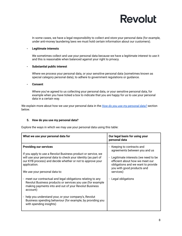

In some cases, we have a legal responsibility to collect and store your personal data (for example, under anti-money laundering laws we must hold certain information about our customers).

#### **- Legitimate interests**

We sometimes collect and use your personal data because we have a legitimate interest to use it and this is reasonable when balanced against your right to privacy.

### **- Substantial public interest**

Where we process your personal data, or your sensitive personal data (sometimes known as special category personal data), to adhere to government regulations or guidance.

#### **- Consent**

Where you've agreed to us collecting your personal data, or your sensitive personal data, for example when you have ticked a box to indicate that you are happy for us to use your personal data in a certain way.

We explain more about how we use your personal data in the *How do you use my [personal](#page-7-0) data?* section below.

### <span id="page-7-0"></span>**5. How do you use my personal data?**

Explore the ways in which we may use your personal data using this table:

| What we use your personal data for                                                                                                                                                                                                                                                                                                             | Our legal basis for using your<br>personal data                                                                                                                                                                          |
|------------------------------------------------------------------------------------------------------------------------------------------------------------------------------------------------------------------------------------------------------------------------------------------------------------------------------------------------|--------------------------------------------------------------------------------------------------------------------------------------------------------------------------------------------------------------------------|
| <b>Providing our services</b><br>If you apply to use a Revolut Business product or service, we<br>will use your personal data to check your identity (as part of<br>our KYB process) and decide whether or not to approve your<br>application.<br>We use your personal data to:                                                                | - Keeping to contracts and<br>agreements between you and us<br>- Legitimate interests (we need to be<br>efficient about how we meet our<br>obligations and we want to provide<br>you with good products and<br>services) |
| meet our contractual and legal obligations relating to any<br>Revolut Business products or services you use (for example<br>making payments into and out of your Revolut Business<br>account)<br>help you understand your, or your company's, Revolut<br>Business spending behaviour (for example, by providing you<br>with spending insights) | Legal obligations                                                                                                                                                                                                        |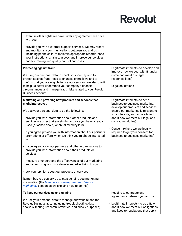| - exercise other rights we have under any agreement we have<br>with you                                                                                                                                                                                                                                                                                                                                                                                                                                                                                                                                                                                                                                                                                                                                                                                                                                                      |                                                                                                                                                                                                                                                                                                                                                        |
|------------------------------------------------------------------------------------------------------------------------------------------------------------------------------------------------------------------------------------------------------------------------------------------------------------------------------------------------------------------------------------------------------------------------------------------------------------------------------------------------------------------------------------------------------------------------------------------------------------------------------------------------------------------------------------------------------------------------------------------------------------------------------------------------------------------------------------------------------------------------------------------------------------------------------|--------------------------------------------------------------------------------------------------------------------------------------------------------------------------------------------------------------------------------------------------------------------------------------------------------------------------------------------------------|
| provide you with customer support services. We may record<br>and monitor any communications between you and us,<br>including phone calls, to maintain appropriate records, check<br>your instructions, analyse, assess and improve our services,<br>and for training and quality control purposes.                                                                                                                                                                                                                                                                                                                                                                                                                                                                                                                                                                                                                           |                                                                                                                                                                                                                                                                                                                                                        |
| <b>Protecting against fraud</b><br>We use your personal data to check your identity and to<br>protect against fraud, keep to financial crime laws and to<br>confirm that you are eligible to use our services. We also use it<br>to help us better understand your company's financial<br>circumstances and manage fraud risks related to your Revolut<br>Business account.                                                                                                                                                                                                                                                                                                                                                                                                                                                                                                                                                  | Legitimate interests (to develop and<br>improve how we deal with financial<br>crime and meet our legal<br>responsibilities)<br>- Legal obligations                                                                                                                                                                                                     |
| Marketing and providing new products and services that<br>might interest you<br>We use your personal data to do the following:<br>provide you with information about other products and<br>$\blacksquare$<br>services we offer that are similar to those you have already<br>used (or asked about, where allowed by law)<br>if you agree, provide you with information about our partners'<br>$\blacksquare$<br>promotions or offers which we think you might be interested<br>in<br>- if you agree, allow our partners and other organisations to<br>provide you with information about their products or<br>services<br>measure or understand the effectiveness of our marketing<br>and advertising, and provide relevant advertising to you<br>- ask your opinion about our products or services<br>Remember, you can ask us to stop sending you marketing<br>information (the <i>How do you use my personal data for</i> | Legitimate interests (to send<br>business-to-business marketing,<br>develop our products and services,<br>ensure our marketing is relevant to<br>your interests, and to be efficient<br>about how we meet our legal and<br>contractual duties)<br>Consent (where we are legally<br>required to get your consent for<br>business-to-business marketing) |
| marketing? section below explains how to do this).<br>To keep our services up and running<br>We use your personal data to manage our website and the<br>Revolut Business app, (including troubleshooting, data<br>analysis, testing, research, statistical and survey purposes),                                                                                                                                                                                                                                                                                                                                                                                                                                                                                                                                                                                                                                             | - Keeping to contracts and<br>agreements between you and us<br>- Legitimate interests (to be efficient<br>about how we meet our obligations<br>and keep to regulations that apply                                                                                                                                                                      |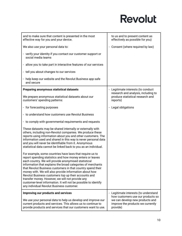| and to make sure that content is presented in the most<br>effective way for you and your device.                                                                                                                                                                                                                                                                                                                                                                                                                                                                                                  | to us and to present content as<br>effectively as possible for you)                                                   |
|---------------------------------------------------------------------------------------------------------------------------------------------------------------------------------------------------------------------------------------------------------------------------------------------------------------------------------------------------------------------------------------------------------------------------------------------------------------------------------------------------------------------------------------------------------------------------------------------------|-----------------------------------------------------------------------------------------------------------------------|
| We also use your personal data to:                                                                                                                                                                                                                                                                                                                                                                                                                                                                                                                                                                | - Consent (where required by law)                                                                                     |
| - verify your identity if you contact our customer support or<br>social media teams                                                                                                                                                                                                                                                                                                                                                                                                                                                                                                               |                                                                                                                       |
| - allow you to take part in interactive features of our services                                                                                                                                                                                                                                                                                                                                                                                                                                                                                                                                  |                                                                                                                       |
| - tell you about changes to our services                                                                                                                                                                                                                                                                                                                                                                                                                                                                                                                                                          |                                                                                                                       |
| - help keep our website and the Revolut Business app safe<br>and secure                                                                                                                                                                                                                                                                                                                                                                                                                                                                                                                           |                                                                                                                       |
| Preparing anonymous statistical datasets                                                                                                                                                                                                                                                                                                                                                                                                                                                                                                                                                          | - Legitimate interests (to conduct                                                                                    |
| We prepare anonymous statistical datasets about our<br>customers' spending patterns:                                                                                                                                                                                                                                                                                                                                                                                                                                                                                                              | research and analysis, including to<br>produce statistical research and<br>reports)                                   |
| - for forecasting purposes                                                                                                                                                                                                                                                                                                                                                                                                                                                                                                                                                                        | - Legal obligations                                                                                                   |
| - to understand how customers use Revolut Business                                                                                                                                                                                                                                                                                                                                                                                                                                                                                                                                                |                                                                                                                       |
| - to comply with governmental requirements and requests                                                                                                                                                                                                                                                                                                                                                                                                                                                                                                                                           |                                                                                                                       |
| These datasets may be shared internally or externally with<br>others, including non-Revolut companies. We produce these<br>reports using information about you and other customers. The<br>information used and shared in this way is never personal data<br>and you will never be identifiable from it. Anonymous<br>statistical data cannot be linked back to you as an individual.                                                                                                                                                                                                             |                                                                                                                       |
| For example, some countries have laws that require us to<br>report spending statistics and how money enters or leaves<br>each country. We will provide anonymised statistical<br>information that explains the broad categories of merchants<br>that Revolut Business customers in that country spend their<br>money with. We will also provide information about how<br>Revolut Business customers top up their accounts and<br>transfer money. However, we will not provide any<br>customer-level information. It will not be possible to identify<br>any individual Revolut Business customer. |                                                                                                                       |
| Improving our products and services                                                                                                                                                                                                                                                                                                                                                                                                                                                                                                                                                               | - Legitimate interests (to understand                                                                                 |
| We use your personal data to help us develop and improve our<br>current products and services. This allows us to continue to<br>provide products and services that our customers want to use.                                                                                                                                                                                                                                                                                                                                                                                                     | how customers use our products so<br>we can develop new products and<br>improve the products we currently<br>provide) |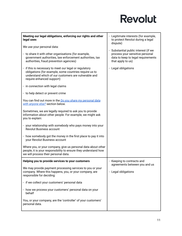| Meeting our legal obligations, enforcing our rights and other<br>legal uses                                                                                                                           | - Legitimate interests (for example,<br>to protect Revolut during a legal<br>dispute)                                              |
|-------------------------------------------------------------------------------------------------------------------------------------------------------------------------------------------------------|------------------------------------------------------------------------------------------------------------------------------------|
| We use your personal data:                                                                                                                                                                            |                                                                                                                                    |
| - to share it with other organisations (for example,<br>government authorities, law enforcement authorities, tax<br>authorities, fraud prevention agencies)                                           | - Substantial public interest (if we<br>process your sensitive personal<br>data to keep to legal requirements<br>that apply to us) |
| - if this is necessary to meet our legal or regulatory<br>obligations (for example, some countries require us to<br>understand which of our customers are vulnerable and<br>require enhanced support) | - Legal obligations                                                                                                                |
| - in connection with legal claims                                                                                                                                                                     |                                                                                                                                    |
| - to help detect or prevent crime                                                                                                                                                                     |                                                                                                                                    |
| You can find out more in the Do you share my personal data<br>with anvone else? section below.                                                                                                        |                                                                                                                                    |
| Sometimes, we are legally required to ask you to provide<br>information about other people. For example, we might ask<br>you to explain:                                                              |                                                                                                                                    |
| - your relationship with somebody who pays money into your<br><b>Revolut Business account</b>                                                                                                         |                                                                                                                                    |
| - how somebody got the money in the first place to pay it into<br>your Revolut Business account                                                                                                       |                                                                                                                                    |
| Where you, or your company, give us personal data about other<br>people, it is your responsibility to ensure they understand how<br>we will process their personal data.                              |                                                                                                                                    |
| Helping you to provide services to your customers                                                                                                                                                     | - Keeping to contracts and<br>agreements between you and us                                                                        |
| We may provide payment processing services to you or your<br>company. Where this happens, you, or your company, are<br>responsible for deciding:                                                      | - Legal obligations                                                                                                                |
| - if we collect your customers' personal data                                                                                                                                                         |                                                                                                                                    |
| - how we process your customers' personal data on your<br>behalf                                                                                                                                      |                                                                                                                                    |
| You, or your company, are the 'controller' of your customers'<br>personal data.                                                                                                                       |                                                                                                                                    |

ı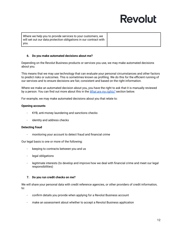Where we help you to provide services to your customers, we will set out our data protection obligations in our contract with you.

### <span id="page-11-0"></span>**6. Do you make automated decisions about me?**

Depending on the Revolut Business products or services you use, we may make automated decisions about you.

This means that we may use technology that can evaluate your personal circumstances and other factors to predict risks or outcomes. This is sometimes known as profiling. We do this for the efficient running of our services and to ensure decisions are fair, consistent and based on the right information.

Where we make an automated decision about you, you have the right to ask that it is manually reviewed by a person. You can find out more about this in the *What are my [rights?](#page-12-1)* section below.

For example, we may make automated decisions about you that relate to:

### **Opening accounts**

- KYB, anti-money laundering and sanctions checks
- identity and address checks

### **Detecting fraud**

monitoring your account to detect fraud and financial crime

Our legal basis is one or more of the following:

- keeping to contracts between you and us
- legal obligations
- legitimate interests (to develop and improve how we deal with financial crime and meet our legal responsibilities)

### <span id="page-11-1"></span>**7. Do you run credit checks on me?**

We will share your personal data with credit reference agencies, or other providers of credit information, to:

- confirm details you provide when applying for a Revolut Business account
- make an assessment about whether to accept a Revolut Business application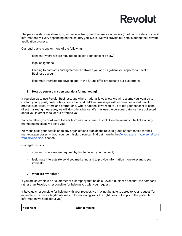The personal data we share with, and receive from, credit reference agencies (or other providers of credit information) will vary depending on the country you live in. We will provide full details during the relevant application process.

Our legal basis is one or more of the following:

- consent (where we are required to collect your consent by law)
- legal obligations
- keeping to contracts and agreements between you and us (where you apply for a Revolut Business account)
- legitimate interests (to develop and, in the future, offer products to our customers)

### <span id="page-12-0"></span>**8. How do you use my personal data for marketing?**

If you sign up to use Revolut Business, and where national laws allow, we will assume you want us to contact you by post, push notification, email and SMS text message with information about Revolut products, services, offers and promotions. Where national laws require us to get your consent to send direct marketing messages, we will do so in advance. We may use the personal data we have collected about you in order to tailor our offers to you.

You can tell us you don't want to hear from us at any time. Just click on the unsubscribe links on any marketing message we send you.

We won't pass your details on to any organisations outside the Revolut group of companies for their marketing purposes without your permission. You can find out more in the *Do you share my [personal](#page-15-0) data with [anyone](#page-15-0) else?* section.

Our legal basis is:

- consent (where we are required by law to collect your consent)
- legitimate interests (to send you marketing and to provide information more relevant to your interests)

### <span id="page-12-1"></span>**9. What are my rights?**

If you are an employee or customer of a company that holds a Revolut Business account, the company, rather than Revolut, is responsible for helping you with your request.

If Revolut is responsible for helping with your request, we may not be able to agree to your request (for example, if we have a legitimate reason for not doing so or the right does not apply to the particular information we hold about you).

| Your right | What it means |
|------------|---------------|
|------------|---------------|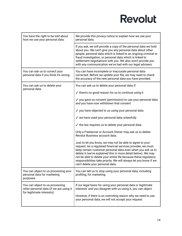| You have the right to be told about<br>how we use your personal data.                                    | We provide this privacy notice to explain how we use your<br>personal data.                                                                                                                                                                                                                                                                                                                                                           |  |
|----------------------------------------------------------------------------------------------------------|---------------------------------------------------------------------------------------------------------------------------------------------------------------------------------------------------------------------------------------------------------------------------------------------------------------------------------------------------------------------------------------------------------------------------------------|--|
|                                                                                                          | If you ask, we will provide a copy of the personal data we hold<br>about you. We can't give you any personal data about other<br>people, personal data which is linked to an ongoing criminal or<br>fraud investigation, or personal data which is linked to<br>settlement negotiations with you. We also won't provide you<br>with any communication we've had with our legal advisers.                                              |  |
| You can ask us to correct your<br>personal data if you think it's wrong.                                 | You can have incomplete or inaccurate personal data<br>corrected. Before we update your file, we may need to check<br>the accuracy of the new personal data you have provided.                                                                                                                                                                                                                                                        |  |
| You can ask us to delete your                                                                            | You can ask us to delete your personal data if:                                                                                                                                                                                                                                                                                                                                                                                       |  |
| personal data.                                                                                           | $\checkmark$ there's no good reason for us to continue using it                                                                                                                                                                                                                                                                                                                                                                       |  |
|                                                                                                          | ✓ you gave us consent (permission) to use your personal data<br>and you have now withdrawn that consent                                                                                                                                                                                                                                                                                                                               |  |
|                                                                                                          | √ you have objected to us using your personal data                                                                                                                                                                                                                                                                                                                                                                                    |  |
|                                                                                                          | √ we have used your personal data unlawfully                                                                                                                                                                                                                                                                                                                                                                                          |  |
|                                                                                                          | $\checkmark$ the law requires us to delete your personal data                                                                                                                                                                                                                                                                                                                                                                         |  |
|                                                                                                          | Only a Freelancer or Account Owner may ask us to delete<br>Revolut Business account data.                                                                                                                                                                                                                                                                                                                                             |  |
|                                                                                                          | Just to let you know, we may not be able to agree to your<br>request. As a regulated financial services provider, we must<br>keep certain customer personal data even when you ask us to<br>delete it (we've explained this in more detail below). We may<br>not be able to delete your entire file because these regulatory<br>responsibilities take priority. We will always let you know if we<br>can't delete your personal data. |  |
| You can object to us processing your<br>personal data for marketing<br>purposes.                         | You can tell us to stop using your personal data, including<br>profiling, for marketing.                                                                                                                                                                                                                                                                                                                                              |  |
| You can object to us processing<br>other personal data (if we are using it<br>for legitimate interests). | If our legal basis for using your personal data is 'legitimate<br>interests' and you disagree with us using it, you can object.                                                                                                                                                                                                                                                                                                       |  |
|                                                                                                          | However, if there is an overriding reason why we need to use<br>your personal data, we will not accept your request.                                                                                                                                                                                                                                                                                                                  |  |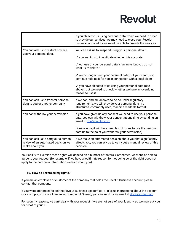|                                                                                              | If you object to us using personal data which we need in order<br>to provide our services, we may need to close your Revolut<br>Business account as we won't be able to provide the services. |
|----------------------------------------------------------------------------------------------|-----------------------------------------------------------------------------------------------------------------------------------------------------------------------------------------------|
| You can ask us to restrict how we                                                            | You can ask us to suspend using your personal data if:                                                                                                                                        |
| use your personal data.                                                                      | ✓ you want us to investigate whether it is accurate                                                                                                                                           |
|                                                                                              | ✓ our use of your personal data is unlawful but you do not<br>want us to delete it                                                                                                            |
|                                                                                              | √ we no longer need your personal data, but you want us to<br>continue holding it for you in connection with a legal claim                                                                    |
|                                                                                              | ✓ you have objected to us using your personal data (see<br>above), but we need to check whether we have an overriding<br>reason to use it                                                     |
| You can ask us to transfer personal<br>data to you or another company.                       | If we can, and are allowed to do so under regulatory<br>requirements, we will provide your personal data in a<br>structured, commonly used, machine-readable format.                          |
| You can withdraw your permission.                                                            | If you have given us any consent we need to use your personal<br>data, you can withdraw your consent at any time by sending an<br>email to dpo@revolut.com.                                   |
|                                                                                              | (Please note, it will have been lawful for us to use the personal<br>data up to the point you withdraw your permission).                                                                      |
| You can ask us to carry out a human<br>review of an automated decision we<br>make about you. | If we make an automated decision about you that significantly<br>affects you, you can ask us to carry out a manual review of this<br>decision.                                                |

Your ability to exercise these rights will depend on a number of factors. Sometimes, we won't be able to agree to your request (for example, if we have a legitimate reason for not doing so or the right does not apply to the particular information we hold about you).

### <span id="page-14-0"></span>**10. How do I exercise my rights?**

If you are an employee or customer of the company that holds the Revolut Business account, please contact that company.

If you were authorised to set the Revolut Business account up, or give us instructions about the account (for example, you are a Freelancer or Account Owner), you can send us an email at [dpo@revolut.com](mailto:dpo@revolut.com).

For security reasons, we can't deal with your request if we are not sure of your identity, so we may ask you for proof of your ID.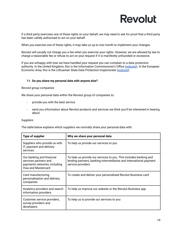If a third party exercises one of these rights on your behalf, we may need to ask for proof that a third party has been validly authorised to act on your behalf.

When you exercise one of these rights, it may take us up to one month to implement your changes.

Revolut will usually not charge you a fee when you exercise your rights. However, we are allowed by law to charge a reasonable fee or refuse to act on your request if it is manifestly unfounded or excessive.

If you are unhappy with how we have handled your request you can complain to a data protection authority. In the United Kingdom, this is the Information Commissioner's Office [\(website\)](https://ico.org.uk/make-a-complaint/). In the European Economic Area, this is the Lithuanian State Data Protection Inspectorate ([website](https://vdai.lrv.lt/)).

### <span id="page-15-0"></span>**11. Do you share my personal data with anyone else?**

### *Revolut group companies*

We share your personal data within the Revolut group of companies to:

- provide you with the best service
- send you information about Revolut products and services we think you'll be interested in hearing about

### *Suppliers*

The table below explains which suppliers we normally share your personal data with:

| <b>Type of supplier</b>                                                                                   | Why we share your personal data                                                                                                                              |
|-----------------------------------------------------------------------------------------------------------|--------------------------------------------------------------------------------------------------------------------------------------------------------------|
| Suppliers who provide us with<br>IT, payment and delivery<br>services                                     | To help us provide our services to you                                                                                                                       |
| Our banking and financial<br>services partners and<br>payments networks, including<br>Visa and Mastercard | To help us provide our services to you. This includes banking and<br>lending partners, banking intermediaries and international payment<br>service providers |
| Card manufacturing,<br>personalisation and delivery<br>companies                                          | To create and deliver your personalised Revolut Business card                                                                                                |
| Analytics providers and search<br>information providers                                                   | To help us improve our website or the Revolut Business app                                                                                                   |
| Customer service providers,<br>survey providers and<br>developers                                         | To help us to provide our services to you                                                                                                                    |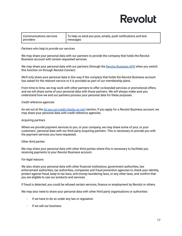| Communications services | To help us send you post, emails, push notifications and text |
|-------------------------|---------------------------------------------------------------|
| providers               | messages                                                      |

### *Partners who help to provide our services*

We may share your personal data with our partners to provide the company that holds the Revolut Business account with certain requested services.

We may share your personal data with our partners (through the Revolut [Business](https://www.revolut.com/business/business-api) API) when you switch this function on through Revolut Connect.

We'll only share your personal data in this way if the company that holds the Revolut Business account has asked for the relevant service or it is provided as part of our membership plans.

From time to time, we may work with other partners to offer co-branded services or promotional offers, and we will share some of your personal data with those partners. We will always make sure you understand how we and our partners process your personal data for these purposes.

### *Credit reference agencies*

As set out at the *Do you run credit [checks](#page-11-1) on me?* section, if you apply for a Revolut Business account, we may share your personal data with credit reference agencies.

### *Acquiring partners*

Where we provide payment services to you, or your company, we may share some of your, or your customers', personal data with our third party acquiring partners. This is necessary to provide you with the payment services you have requested.

### *Other third parties*

We may share your personal data with other third parties where this is necessary to facilitate you receiving payments to your Revolut Business account.

### *For legal reasons*

We also share your personal data with other financial institutions, government authorities, law enforcement authorities, tax authorities, companies and fraud prevention agencies to check your identity, protect against fraud, keep to tax laws, anti-money laundering laws, or any other laws, and confirm that you are eligible to use our products and services.

If fraud is detected, you could be refused certain services, finance or employment by Revolut or others.

We may also need to share your personal data with other third party organisations or authorities:

- if we have to do so under any law or regulation
- if we sell our business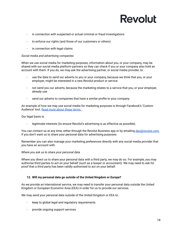- in connection with suspected or actual criminal or fraud investigations
- to enforce our rights (and those of our customers or others)
- in connection with legal claims

### *Social media and advertising companies*

When we use social media for marketing purposes, information about you, or your company, may be shared with our social media platform partners so they can check if you or your company also hold an account with them. If you do, we may ask the advertising partner, or social media provider, to:

- use the data to send our adverts to you or your company, because we think that you, or your employer, might be interested in a new Revolut product or service
- not send you our adverts, because the marketing relates to a service that you, or your employer, already use
- send our adverts to companies that have a similar profile to your company

An example of how we may use social media for marketing purposes is through Facebook's 'Custom Audience' tool. Read more about these [terms.](https://www.facebook.com/legal/terms/customaudience)

Our legal basis is:

legitimate interests (to ensure Revolut's advertising is as effective as possible).

You can contact us at any time, either through the Revolut Business app or by emailing [dpo@revolut.com,](mailto:dpo@revolut.com) if you don't want us to share your personal data for advertising purposes.

Remember you can also manage your marketing preferences directly with any social media provider that you have an account with.

### *Where you ask us to share your personal data*

Where you direct us to share your personal data with a third party, we may do so. For example, you may authorise third parties to act on your behalf (such as a lawyer or accountant). We may need to ask for proof that a third party has been validly authorised to act on your behalf.

### <span id="page-17-0"></span>**12. Will my personal data go outside of the United Kingdom or Europe?**

As we provide an international service, we may need to transfer your personal data outside the United Kingdom or European Economic Area (EEA) in order for us to provide our services.

We may send your personal data outside of the United Kingdom or EEA to:

- keep to global legal and regulatory requirements
- provide ongoing support services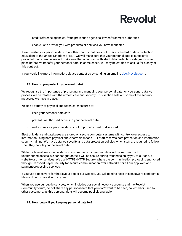

- credit reference agencies, fraud prevention agencies, law enforcement authorities
- enable us to provide you with products or services you have requested

If we transfer your personal data to another country that does not offer a standard of data protection equivalent to the United Kingdom or EEA, we will make sure that your personal data is sufficiently protected. For example, we will make sure that a contract with strict data protection safeguards is in place before we transfer your personal data. In some cases, you may be entitled to ask us for a copy of this contract.

If you would like more information, please contact us by sending an email to [dpo@revolut.com.](mailto:dpo@revolut.com)

### <span id="page-18-0"></span>**13. How do you protect my personal data?**

We recognise the importance of protecting and managing your personal data. Any personal data we process will be treated with the utmost care and security. This section sets out some of the security measures we have in place**.**

We use a variety of physical and technical measures to:

- keep your personal data safe
- prevent unauthorised access to your personal data
- make sure your personal data is not improperly used or disclosed

Electronic data and databases are stored on secure computer systems with control over access to information using both physical and electronic means. Our staff receives data protection and information security training. We have detailed security and data protection policies which staff are required to follow when they handle your personal data**.**

While we take all reasonable steps to ensure that your personal data will be kept secure from unauthorised access, we cannot guarantee it will be secure during transmission by you to our app, a website or other services. We use HTTPS (HTTP Secure), where the communication protocol is encrypted through Transport Layer Security for secure communication over networks, for all our app, web and payment-processing services.

If you use a password for the Revolut app or our website, you will need to keep this password confidential. Please do not share it with anyone.

When you use our public services, which includes our social network accounts and the Revolut Community forum, do not share any personal data that you don't want to be seen, collected or used by other customers, as this personal data will become publicly available.

### <span id="page-18-1"></span>**14. How long will you keep my personal data for?**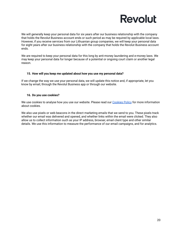We will generally keep your personal data for six years after our business relationship with the company that holds the Revolut Business account ends or such period as may be required by applicable local laws. However, if you receive services from our Lithuanian group companies, we will keep your personal data for eight years after our business relationship with the company that holds the Revolut Business account ends.

We are required to keep your personal data for this long by anti-money laundering and e-money laws. We may keep your personal data for longer because of a potential or ongoing court claim or another legal reason.

### <span id="page-19-0"></span>**15. How will you keep me updated about how you use my personal data?**

If we change the way we use your personal data, we will update this notice and, if appropriate, let you know by email, through the Revolut Business app or through our website.

### <span id="page-19-1"></span>**16. Do you use cookies?**

We use cookies to analyse how you use our website. Please read our [Cookies](https://www.revolut.com/legal/cookies-policy) Policy for more information about cookies.

We also use pixels or web beacons in the direct marketing emails that we send to you. These pixels track whether our email was delivered and opened, and whether links within the email were clicked. They also allow us to collect information such as your IP address, browser, email client type and other similar details. We use this information to measure the performance of our email campaigns, and for analytics.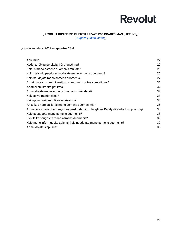### **"REVOLUT BUSINESS" KLIENTŲ PRIVATUMO PRANEŠIMAS (LIETUVIŲ)**

*[\(Sugrįžti](#page-0-0) į kalbų lentelę)*

<span id="page-20-0"></span>Įsigaliojimo data: 2022 m. gegužės 23 d.

| Apie mus                                                                          | 22 |
|-----------------------------------------------------------------------------------|----|
| Kodėl turėčiau perskaityti šį pranešimą?                                          | 22 |
| Kokius mano asmens duomenis renkate?                                              | 23 |
| Kokiu teisiniu pagrindu naudojate mano asmens duomenis?                           | 26 |
| Kaip naudojate mano asmens duomenis?                                              | 27 |
| Ar priimate su manimi susijusius automatizuotus sprendimus?                       | 31 |
| Ar atliekate kredito patikras?                                                    | 32 |
| Ar naudojate mano asmens duomenis rinkodarai?                                     | 32 |
| Kokios yra mano teisės?                                                           | 33 |
| Kaip galiu pasinaudoti savo teisėmis?                                             | 35 |
| Ar su kuo nors dalijatės mano asmens duomenimis?                                  | 35 |
| Ar mano asmens duomenys bus perduodami už Jungtinės Karalystės arba Europos ribų? | 38 |
| Kaip apsaugote mano asmens duomenis?                                              | 38 |
| Kiek laiko saugosite mano asmens duomenis?                                        | 39 |
| Kaip mane informuosite apie tai, kaip naudojate mano asmens duomenis?             | 39 |
| Ar naudojate slapukus?                                                            | 39 |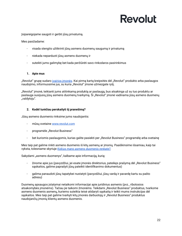Įsipareigojame saugoti ir gerbti jūsų privatumą.

Mes pasižadame:

- visada stengtis užtikrinti jūsų asmens duomenų saugumą ir privatumą
- niekada neparduoti jūsų asmens duomenų ir
- suteikti jums galimybę bet kada peržiūrėti savo rinkodaros pasirinkimus

### <span id="page-21-0"></span>**1. Apie mus**

"Revolut" grupę sudaro įvairios [įmonės.](https://www.revolut.com/business/help/more/general/which-revolut-entities-offer-services) Kai pirmą kartą kreipsitės dėl "Revolut" produkto arba paslaugos naudojimo, informuosime jus, su kuria "Revolut" įmone užmezgate ryšį.

"Revolut" įmonė, teikianti jums atitinkamą produktą ar paslaugą, bus atsakinga už su tuo produktu ar paslauga susijusių jūsų asmens duomenų tvarkymą. Ši "Revolut" įmonė vadinama jūsų asmens duomenų "valdytoju".

### <span id="page-21-1"></span>**2. Kodėl turėčiau perskaityti šį pranešimą?**

Jūsų asmens duomenis rinksime jums naudojantis:

- mūsų svetaine [www.revolut.com](https://www.revolut.com)
- programėle "Revolut Business"
- bet kuriomis paslaugomis, kurias galite pasiekti per "Revolut Business" programėle arba svetaine

Mes taip pat galime rinkti asmens duomenis iš kitų asmenų ar įmonių. Paaiškinsime išsamiau, kaip tai vyksta, tolesniame skyriuje *Kokius mano asmens [duomenis](#page-22-0) renkate?.*

Sakydami "asmens duomenys", kalbame apie informaciją, kurią:

- žinome apie jus (pavyzdžiui, jei esate įmonės direktorius, pateikes prašymą dėl "Revolut Business" sąskaitos, galime paprašyti jūsų pateikti identifikavimo dokumentus)
- galima panaudoti jūsų tapatybei nustatyti (pavyzdžiui, jūsų vardą ir pavardę kartu su pašto adresu)

Duomenų apsaugos įstatymai netaikomi informacijai apie juridinius asmenis (pvz., ribotosios atsakomybės įmonėms). Tačiau jie taikomi žmonėms. Teikdami "Revolut Business" produktus, tvarkome asmens duomenis asmenų, kuriems suteikta teisė atidaryti sąskaitą ir teikti mums instrukcijas dėl sąskaitos. Mes taip pat galime tvarkyti kitų įmonės darbuotojų ir "Revolut Business" produktus naudojančių įmonių klientų asmens duomenis.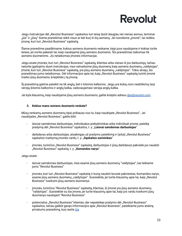Jeigu instrukcijas dėl "Revolut Business" sąskaitos turi teisę duoti daugiau nei vienas asmuo, terminai "jūs" ir "jūsų" šiame pranešimai reikš visus ar bet kurį iš šių asmenų. Jei nurodome "įmonė", tai reiškia jmonę, kuri turi "Revolut Business" sąskaitą.

Šiame pranešime paaiškiname, kokius asmens duomenis renkame, kaip juos naudojame ir kokias turite teises, jei norite pakeisti tai, kaip naudojame jūsų asmens duomenis. Šis pranešimas taikomas tik asmens duomenims. Jis netaikomas įmonės informacijai.

Jeigu esate įmonės, kuri turi "Revolut Business" sąskaitą, klientas arba vienas iš jos darbuotojų, tačiau neturite įgaliojimo duoti instrukcijas, mes netvarkome jūsų duomenų kaip asmens duomenų "valdytojas". Įmonė, kuri turi "Revolut Business" sąskaitą, yra jūsų asmens duomenų "valdytojas". Tokiu atveju, šis pranešimas jums netaikomas. Dėl informacijos apie tai, kaip "Revolut Business" sąskaitą turinti įmonė tvarko jūsų duomenis, kreipkitės į tą įmonę.

Šį pranešimą galime pateikti ne tik anglų, bet ir kitomis kalbomis. Jeigu yra kokių nors neatitikimų tarp versijų kitomis kalbomis ir anglų kalba, vadovaujamasi versija anglų kalba.

Jei kyla klausimų, kaip naudojame jūsų asmens duomenis, galite kreiptis adresu [dpo@revolut.com](mailto:dpo@revolut.com).

### <span id="page-22-0"></span>**3. Kokius mano asmens duomenis renkate?**

Mūsų renkamų asmens duomenų tipai priklauso nuo to, kaip naudojate "Revolut Business". Jei naudojatės "Revolut Business", galite būti:

- laisvai samdomas darbuotojas, individualus prekybininkas arba individuali įmonė, pateikę prašymą dėl "Revolut Business" sąskaitos, t. y. "**Laisvai samdomas darbuotojas**"
- darbdavys arba darbuotojas, atsakingas už prašymo pateikimą ir (arba) "Revolut Business" sąskaitos tvarkymą įmonės vardu, t. y. "**Sąskaitos savininkas**"
- jmonės, turinčios "Revolut Business" sąskaitą, darbuotojas ir jūsų darbdavys pakvietė jus naudoti "Revolut Business" sąskaitą, t. y. "**Komandos narys**"

### Jeigu esate:

- laisvai samdomas darbuotojas, mes esame jūsų asmens duomenų "valdytojas", kai teikiame jums "Revolut Business"
- jmonės, kuri turi "Revolut Business" sąskaitą ir kurią naudoti buvote pakviestas, Komandos narys, esame jūsų asmens duomenų "valdytojas". Susisiekite, jei turite klausimų apie tai, kaip "Revolut Business" tvarkomi jūsų asmens duomenys
- įmonės, turinčios "Revolut Business" sąskaitą, klientas, ši įmonė yra jūsų asmens duomenų "valdytojas". Susisiekite su šia įmone, jei turite klausimų apie tai, kaip jos vardu tvarkomi jūsų duomenys naudojant "Revolut Business"
- potencialus "Revolut Business" klientas, dar nepateikęs prašymo dėl "Revolut Business" sąskaitos, tačiau galbūt gavęs informacijos apie "Revolut Business", pateikiame jums atskirą privatumo pranešimą, kurį rasite [čia](https://www.revolut.com/business/help/more/general/prospective-customer-privacy-notice)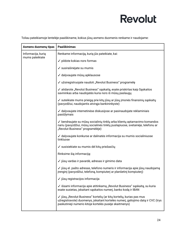Toliau pateikiamoje lentelėje paaiškiname, kokius jūsų asmens duomenis renkame ir naudojame:

| Asmens duomenų tipas | Paaiškinimas                                                                                                                                                                                                        |
|----------------------|---------------------------------------------------------------------------------------------------------------------------------------------------------------------------------------------------------------------|
| Informacija, kurią   | Renkame informaciją, kurią jūs pateikiate, kai:                                                                                                                                                                     |
| mums pateikiate      | ✓ pildote kokias nors formas                                                                                                                                                                                        |
|                      | √ susirašinėjate su mumis                                                                                                                                                                                           |
|                      | √ dalyvaujate mūsų apklausose                                                                                                                                                                                       |
|                      | √ užsiregistruojate naudoti "Revolut Business" programėlę                                                                                                                                                           |
|                      | ✓ atidarote "Revolut Business" sąskaitą, esate priskirtas kaip Sąskaitos<br>savininkas arba naudojatės kuria nors iš mūsų paslaugų                                                                                  |
|                      | √ suteikiate mums prieigą prie kitų jūsų ar jūsų įmonės finansinių sąskaitų<br>(pavyzdžiui, naudojantis atvirąja bankininkyste)                                                                                     |
|                      | √ dalyvaujate internetinėse diskusijose ar pasinaudojate reklaminiais<br>pasiūlymais                                                                                                                                |
|                      | ✓ bendraujate su mūsų socialinių tinklų arba klientų aptarnavimo komandos<br>nariu (pavyzdžiui, mūsų socialinės tinklų puslapiuose, svetainėje, telefonu ar<br>"Revolut Business" programėlėje)                     |
|                      | ✓ dalyvaujate konkurse ar dalinatės informacija su mumis socialiniuose<br>tinkluose                                                                                                                                 |
|                      | √ susisiekiate su mumis dėl kitų priežasčių                                                                                                                                                                         |
|                      | Rinksime šią informaciją:                                                                                                                                                                                           |
|                      | √ jūsų vardas ir pavardė, adresas ir gimimo data                                                                                                                                                                    |
|                      | √ jūsų el. pašto adresas, telefono numeris ir informacija apie jūsų naudojamą<br>jrenginį (pavyzdžiui, telefoną, kompiuterį ar planšetinį kompiuterį)                                                               |
|                      | √ jūsų registracijos informacija                                                                                                                                                                                    |
|                      | √išsami informacija apie atitinkamą "Revolut Business" sąskaitą, su kuria<br>esate susietas, įskaitant sąskaitos numerį, banko kodą ir IBAN                                                                         |
|                      | ✓ jūsų "Revolut Business" kortelių (ar kitų kortelių, kurias pas mus<br>užregistravote) duomenys, įskaitant kortelės numerį, galiojimo datą ir CVC (trys<br>paskutinieji numerio kitoje kortelės pusėje skaitmenys) |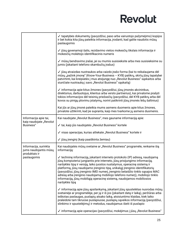|                                                  | √ tapatybės dokumentų (pavyzdžiui, paso arba vairuotojo pažymėjimo) kopijos<br>ir bet kokia kita jūsų pateikta informacija, įrodanti, kad galite naudotis mūsų<br>paslaugomis                                                                                                                                                                                                                                                                                                                                                                                                           |
|--------------------------------------------------|-----------------------------------------------------------------------------------------------------------------------------------------------------------------------------------------------------------------------------------------------------------------------------------------------------------------------------------------------------------------------------------------------------------------------------------------------------------------------------------------------------------------------------------------------------------------------------------------|
|                                                  | √ jūsų gyvenamoji šalis, rezidavimo vietos mokesčių tikslais informacija ir<br>mokesčių mokėtojo identifikacinis numeris                                                                                                                                                                                                                                                                                                                                                                                                                                                                |
|                                                  | √ mūsų bendravimo įrašai, jei su mumis susisieksite arba mes susisieksime su<br>jumis (įskaitant telefono skambučių įrašus)                                                                                                                                                                                                                                                                                                                                                                                                                                                             |
|                                                  | √ jūsų atvaizdas nuotraukos arba vaizdo įrašo forma (kai to reikalaujama dėl<br>mūsų "pažink įmonę" (Know-Your-Business - KYB) patikrų, skirtų jūsų tapatybei<br>patvirtinti, kai kreipiatės į mus atsijungę nuo "Revolut Business" sąskaitos arba<br>siunčiate nuotrauką į savo "Revolut Business" sąskaitą)                                                                                                                                                                                                                                                                           |
|                                                  | √ informacija apie kitus žmones (pavyzdžiui, jūsų įmonės akcininkus,<br>direktorius, darbuotojus, klientus arba verslo partnerius), kai privalome prašyti<br>tokios informacijos dėl teisinių priežasčių (pavyzdžiui, dėl KYB patikrų arba dėl<br>kovos su pinigų plovimu įstatymų, norint patikrinti jūsų įmonės lėšų šaltinius)                                                                                                                                                                                                                                                       |
|                                                  | Kai jūs ar jūsų įmonė pateikia mums asmens duomenis apie kitus žmones,<br>privalote užtikrinti, kad jie supranta, kaip mes tvarkome jų asmens duomenis.                                                                                                                                                                                                                                                                                                                                                                                                                                 |
| Informacija apie tai,<br>kaip naudojate "Revolut | Kai naudojate "Revolut Business", mes gauname informaciją apie:                                                                                                                                                                                                                                                                                                                                                                                                                                                                                                                         |
| Business"                                        | √ tai, kaip jūs naudojatės "Revolut Business" kortele                                                                                                                                                                                                                                                                                                                                                                                                                                                                                                                                   |
|                                                  | √ visas operacijas, kurias atliekate "Revolut Business" kortele ir                                                                                                                                                                                                                                                                                                                                                                                                                                                                                                                      |
|                                                  | √ jūsų įrenginį (kaip paaiškinta žemiau)                                                                                                                                                                                                                                                                                                                                                                                                                                                                                                                                                |
| Informacija, surinkta<br>jums naudojantis mūsų   | Kai naudojatės mūsų svetaine ar "Revolut Business" programėle, renkame šią<br>informaciją:                                                                                                                                                                                                                                                                                                                                                                                                                                                                                              |
| produktais ir<br>paslaugomis                     | √ techninę informaciją, įskaitant interneto protokolo (IP) adresą, naudojamą<br>jūsų kompiuteriui jungiantis prie interneto, jūsų prisijungimo informaciją,<br>naršyklės tipą ir versiją, laiko juostos nustatymus, operacinę sistemą ir<br>platformą, jūsų naudojamo įrenginio tipą, unikalųjį įrenginio identifikatorių<br>(pavyzdžiui, jūsų įrenginio IMEI numerį, įrenginio belaidžio tinklo sąsajos MAC<br>adresą arba įrenginio naudojamą mobiliojo telefono numerį), mobiliojo tinklo<br>informaciją, jūsų mobiliąją operacinę sistemą, naudojamos mobiliosios<br>naršyklės tipą |
|                                                  | √ informaciją apie jūsų apsilankymą, įskaitant jūsų spustelėtas nuorodas mūsų<br>svetainėje ar programėlėje, per ją ir iš jos (įskaitant datą ir laiką), peržiūras arba<br>ieškotas paslaugas, puslapių atsako laiką, atsisiuntimo klaidas, kiek laiko<br>praleidote tam tikruose puslapiuose, puslapių sąveikos informaciją (pavyzdžiui,<br>slinkimo ir spustelėjimų) ir metodus, naudojamus išeiti iš puslapio                                                                                                                                                                        |
|                                                  | √ informaciją apie operacijas (pavyzdžiui, mokėjimus į jūsų "Revolut Business"                                                                                                                                                                                                                                                                                                                                                                                                                                                                                                          |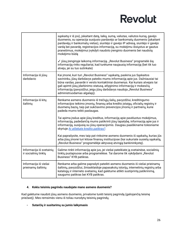|                                                  | sąskaitą ir iš jos), įskaitant datą, laiką, sumą, valiutas, valiutos kursą, gavėjo<br>duomenis, su operacija susijusio pardavėjo ar bankomatų duomenis (įskaitant<br>pardavėjų ir bankomatų vietas), siuntėjo ir gavėjo IP adresą, siuntėjo ir gavėjo<br>vardą bei pavardę, registracijos informaciją, su mokėjimu išsiųstus ar gautus<br>pranešimus, mokėjimui įvykdyti naudoto įrenginio duomenis bei naudotą<br>mokėjimo būdą<br>√ jūsų įrenginyje laikomą informaciją. "Revolut Business" programėlė šią<br>informaciją rinks reguliariai, kad turėtume naujausią informaciją (bet tik tuo<br>atveju, jei su tuo sutinkate) |
|--------------------------------------------------|---------------------------------------------------------------------------------------------------------------------------------------------------------------------------------------------------------------------------------------------------------------------------------------------------------------------------------------------------------------------------------------------------------------------------------------------------------------------------------------------------------------------------------------------------------------------------------------------------------------------------------|
| Informacija iš jūsų<br>darbdavio                 | Kai įmonė, kuri turi "Revolut Business" sąskaitą, paskiria jus Sąskaitos<br>savininku, jūsų darbdavys pateiks mums informaciją apie jus. Dažniausiai tai<br>būna vardas, pavardė ir verslo kontaktiniai duomenys. Kai kuriais atvejais tai<br>gali apimti jūsų įdarbinimo statusą, atlyginimo informaciją ir mokesčių<br>informaciją (pavyzdžiui, jeigu jūsų darbdavys naudoja "Revolut Business"<br>administruodamas algalapį).                                                                                                                                                                                                |
| Informacija iš kitų<br>šaltinių                  | Renkame asmens duomenis iš trečiųjų šalių, pavyzdžiui, kreditingumo<br>informacijos teikimo įmonių, finansų arba kredito įstaigų, oficialių registrų ir<br>duomenų bazių, taip pat sukčiavimo prevencijos įmonių ir partnerių, kurie<br>padeda mums teikti paslaugas.                                                                                                                                                                                                                                                                                                                                                           |
|                                                  | Tai apima įrašus apie jūsų kreditus, informaciją apie pavėluotus mokėjimus,<br>informaciją, padedančią mums patikrinti jūsų tapatybę, informaciją apie jus ir<br>informaciją, susijusią su jūsų operacijomis. Daugiau paaiškiname tolesniame<br>skyriuje Ar atliekate kredito patikras?                                                                                                                                                                                                                                                                                                                                         |
|                                                  | Kai paprašysite, mes taip pat rinksime asmens duomenis iš sąskaitų, kurias jūs<br>arba jūsų įmonė turi kitose finansų institucijose (kai sukuriate susietą sąskaitą,<br>"Revolut Business" programėlėje aktyvavę atvirąją bankininkystę).                                                                                                                                                                                                                                                                                                                                                                                       |
| Informacija iš svetainių<br>ir socialinių tinklų | Galime rinkti informaciją apie jus, jei viešai pateikiate ją svetainėse, socialinių<br>tinklų puslapiuose arba programėlėse. Tai darome tik vykdydami "Revolut<br>Business" KYB patikras.                                                                                                                                                                                                                                                                                                                                                                                                                                       |
| Informacija iš viešai<br>prieinamų šaltinių      | Renkame arba galime paprašyti pateikti asmens duomenis iš viešai prieinamų<br>šaltinių, pavyzdžiui, žiniasklaidoje papasakotų istorijų, internetinių registrų arba<br>katalogų ir interneto svetainių, kad galėtume atlikti sustiprintą patikrinimą,<br>saugumo patikras bei KYB patikras.                                                                                                                                                                                                                                                                                                                                      |

### <span id="page-25-0"></span>**4. Kokiu teisiniu pagrindu naudojate mano asmens duomenis?**

Kad galėtume naudoti jūsų asmens duomenis, privalome turėti teisinį pagrindą (galiojančią teisinę priežastį). Mes remsimės vienu iš toliau nurodytų teisinių pagrindų.

### **- Sutarčių ir susitarimų su jumis laikymasis**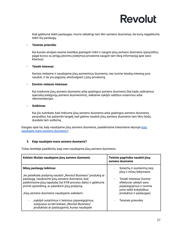Kad galėtume teikti paslaugas, mums reikalingi tam tikri asmens duomenys, be kurių negalėtume teikti šių paslaugų.

### **- Teisinės prievolės**

Kai kuriais atvejais esame teisiškai įpareigoti rinkti ir saugoti jūsų asmens duomenis (pavyzdžiui, pagal kovos su pinigų plovimu įstatymus privalome saugoti tam tikrą informaciją apie savo klientus).

### **- Teisėti interesai**

Kartais renkame ir naudojame jūsų asmeninius duomenis, nes turime teisėtą interesą juos naudoti, ir tai yra pagrįsta, atsižvelgiant į jūsų privatumą.

### **- Esminis viešasis interesas**

Kai tvarkome jūsų asmens duomenis arba ypatingus asmens duomenis (kai kada vadinamus specialių kategorijų asmens duomenimis), siekiame vykdyti valdžios nutarimus arba rekomendacijas.

### **- Sutikimas**

Kai jūs sutinkate, kad rinktume jūsų asmens duomenis arba ypatingus asmens duomenis, pavyzdžiui, kai pažymite langelį, kad galime naudoti jūsų asmens duomenis tam tikru būdu, duodate tam sutikimą.

Daugiau apie tai, kaip naudojame jūsų asmens duomenis, paaiškiname tolesniame skyriuje *[Kaip](#page-26-0) naudojate mano asmens [duomenis?](#page-26-0)*.

### <span id="page-26-0"></span>**5. Kaip naudojate mano asmens duomenis?**

Toliau lentelėje paaiškinta, kaip mes naudojame jūsų asmens duomenis.

| Kokiais tikslais naudojame jūsų asmens duomenis                                                                                                                                                                                                                                                          | Teisinis pagrindas naudoti jūsų<br>asmens duomenis                                                                                                                                               |
|----------------------------------------------------------------------------------------------------------------------------------------------------------------------------------------------------------------------------------------------------------------------------------------------------------|--------------------------------------------------------------------------------------------------------------------------------------------------------------------------------------------------|
| Mūsų paslaugų teikimas<br>Jei pateikiate prašymą naudoti "Revolut Business" produktą ar<br>paslaugą, naudosime jūsų asmens duomenis, kad<br>patikrintume jūsų tapatybę (tai KYB proceso dalis) ir galėtume<br>priimti sprendimą, ar patenkinti jūsų prašymą.<br>Jūsų asmens duomenis naudojame siekdami: | Sutarčių ir susitarimų tarp<br>jūsų ir mūsų laikymasis<br>Teisėti interesai (turime<br>efektyviai vykdyti savo<br>jsipareigojimus ir norime<br>jums teikti kokybiškus<br>produktus ir paslaugas) |
| jvykdyti sutartinius ir teisinius įsipareigojimus,<br>susijusius su bet kokiais "Revolut Business"<br>produktais ar paslaugomis, kurias naudojate                                                                                                                                                        | Teisinės prievolės                                                                                                                                                                               |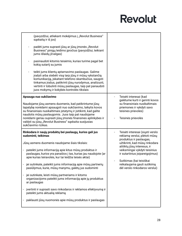| (pavyzdžiui, atliekant mokėjimus į "Revolut Business"<br>sąskaitą ir iš jos)                                                                                                                                                                                                                                                                                                                                                                                                                                                                                                                                                                                                          |                                                                                                                                                                                                                                                                                            |
|---------------------------------------------------------------------------------------------------------------------------------------------------------------------------------------------------------------------------------------------------------------------------------------------------------------------------------------------------------------------------------------------------------------------------------------------------------------------------------------------------------------------------------------------------------------------------------------------------------------------------------------------------------------------------------------|--------------------------------------------------------------------------------------------------------------------------------------------------------------------------------------------------------------------------------------------------------------------------------------------|
| padėti jums suprasti jūsų ar jūsų įmonės "Revolut<br>Business" pinigų leidimo įpročius (pavyzdžiui, teikiant<br>jums išlaidų įžvalgas)                                                                                                                                                                                                                                                                                                                                                                                                                                                                                                                                                |                                                                                                                                                                                                                                                                                            |
| pasinaudoti kitomis teisėmis, kurias turime pagal bet<br>kokią sutartį su jumis                                                                                                                                                                                                                                                                                                                                                                                                                                                                                                                                                                                                       |                                                                                                                                                                                                                                                                                            |
| teikti jums klientų aptarnavimo paslaugas. Galime<br>įrašyti arba stebėti visą tarp jūsų ir mūsų vykstančią<br>komunikaciją, įskaitant telefono skambučius, saugoti<br>tinkamus įrašus, patikrinti jūsų nurodymus, analizuoti,<br>vertinti ir tobulinti mūsų paslaugas, taip pat panaudoti<br>juos mokymų ir kokybės kontrolės tikslais                                                                                                                                                                                                                                                                                                                                               |                                                                                                                                                                                                                                                                                            |
| Apsauga nuo sukčiavimo<br>Naudojame jūsų asmens duomenis, kad patikrintume jūsų<br>tapatybę norėdami apsaugoti nuo sukčiavimo, laikytis kovos<br>su finansiniais nusikaltimais įstatymų ir įsitikinti, kad galite<br>naudotis mūsų paslaugomis. Juos taip pat naudojame<br>norėdami geriau suprasti jūsų įmonės finansines aplinkybes ir<br>valdyti su jūsų "Revolut Business" sąskaita susijusias<br>sukčiavimo rizikas.                                                                                                                                                                                                                                                             | Teisėti interesai (kad<br>galėtume kurti ir gerinti kovos<br>su finansiniais nusikaltimais<br>priemones ir vykdyti savo<br>teisines prievoles)<br>Teisinės prievolės                                                                                                                       |
| Rinkodara ir naujų produktų bei paslaugų, kurios gali jus                                                                                                                                                                                                                                                                                                                                                                                                                                                                                                                                                                                                                             | Teisėti interesai (siųsti verslo                                                                                                                                                                                                                                                           |
| sudominti, teikimas<br>Jūsų asmens duomenis naudojame šiais tikslais:<br>pateikti jums informaciją apie kitus mūsų produktus ir<br>paslaugas, kurios yra panašios į tas, kurias jau naudojote (ar<br>apie kurias teiravotės, kur tai leidžia teisės aktai)<br>jei sutinkate, pateikti jums informaciją apie mūsų partnerių<br>pasiūlymus, kurie, mūsų manymu, galėtų jus sudominti<br>jei sutinkate, leisti mūsų partneriams ir kitoms<br>organizacijoms pateikti jums informaciją apie jų produktus<br>ar paslaugas<br>įvertinti ir suprasti savo rinkodaros ir reklamos efektyvumą ir<br>pateikti jums aktualią reklamą<br>paklausti jūsų nuomonės apie mūsų produktus ir paslaugas | reklamą verslui, plėtoti mūsų<br>produktus ir paslaugas,<br>užtikrinti, kad mūsų rinkodara<br>atitiktų jūsų interesus, ir<br>veiksmingai vykdyti teisinius<br>ir sutartinius įsipareigojimus)<br>Sutikimas (kai teisiškai<br>reikalaujama gauti sutikimą<br>dėl verslo rinkodaros verslui) |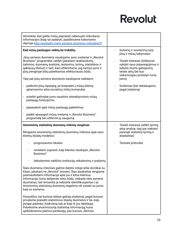| Atminkite, kad galite mūsų paprašyti nebesiųsti rinkodaros<br>informacijos (kaip tai padaryti, paaiškiname tolesniame<br>skyriuje Kaip naudojate mano asmens duomenis rinkodarai?).                                                                                                                                                                                                                                                                                                                                                                                                                                                                                                                                                               |  |                                                                                                                                                                                                                                                                             |
|---------------------------------------------------------------------------------------------------------------------------------------------------------------------------------------------------------------------------------------------------------------------------------------------------------------------------------------------------------------------------------------------------------------------------------------------------------------------------------------------------------------------------------------------------------------------------------------------------------------------------------------------------------------------------------------------------------------------------------------------------|--|-----------------------------------------------------------------------------------------------------------------------------------------------------------------------------------------------------------------------------------------------------------------------------|
| Kad mūsų paslaugos veiktų be trukdžių<br>Jūsų asmens duomenis naudojame savo svetainei ir "Revolut<br>Business" programėlei valdyti (įskaitant nesklandumų<br>šalinimo, duomenų analizės, testavimo, tyrimų, statistikos ir<br>apklausų tikslus) ir tam, kad užtikrintume, jog turinys jums ir<br>jūsų įrenginyje būtų pateikiamas efektyviausiu būdu.<br>Taip pat jūsų asmens duomenis naudojame siekdami:<br>patikrinti jūsų tapatybę, jei kreipiatės į mūsų klientų<br>aptarnavimo arba socialinių tinklų komandas<br>suteikti galimybę jums naudotis interaktyviomis mūsų<br>paslaugų funkcijomis<br>papasakoti apie mūsų paslaugų pakeitimus<br>padėti apsaugoti mūsų svetainę ir "Revolut Business"<br>programėlę bei užtikrinti jų saugumą |  | Sutarčių ir susitarimų tarp<br>jūsų ir mūsų laikymasis<br>Teisėti interesai (efektyviai<br>vykdyti savo įsipareigojimus ir<br>laikytis mums galiojančių<br>teisės aktų bei kuo<br>veiksmingiau pristatyti turinį<br>jums)<br>Sutikimas (kai reikalaujama<br>pagal įstatymą) |
| Anoniminių statistinių duomenų rinkinių rengimas<br>Rengiame anoniminių statistinių duomenų rinkinius apie savo<br>klientų išlaidų modelius:                                                                                                                                                                                                                                                                                                                                                                                                                                                                                                                                                                                                      |  | Teisėti interesai (atlikti tyrimą<br>arba analizę, taip pat siekiant<br>parengti statistinį tyrimą ir<br>ataskaitas)                                                                                                                                                        |
|                                                                                                                                                                                                                                                                                                                                                                                                                                                                                                                                                                                                                                                                                                                                                   |  |                                                                                                                                                                                                                                                                             |
| prognozavimo tikslais<br>norėdami suprasti, kaip klientai naudojasi "Revolut                                                                                                                                                                                                                                                                                                                                                                                                                                                                                                                                                                                                                                                                      |  | Teisinės prievolės                                                                                                                                                                                                                                                          |
| Business"<br>laikydamiesi valdžios institucijų reikalavimų ir prašymų                                                                                                                                                                                                                                                                                                                                                                                                                                                                                                                                                                                                                                                                             |  |                                                                                                                                                                                                                                                                             |
| Šiais duomenų rinkiniais galime dalytis viduje arba išoriškai su<br>kitais, įskaitant ne "Revolut" įmones. Šias ataskaitas rengiame<br>pasinaudodami informacija apie jus ir kitus klientus.<br>Informacija, kuria dalijamės tokiu būdu, niekada nėra asmens<br>duomenys, tad remiantis ja nebūsite identifikuojamas (-a).<br>Anoniminių statistinių duomenų negalima vėl susieti su jumis<br>kaip su asmeniu.                                                                                                                                                                                                                                                                                                                                    |  |                                                                                                                                                                                                                                                                             |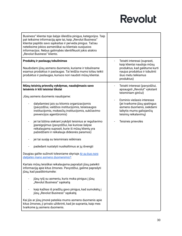| Business" klientai toje šalyje išleidžia pinigus, kategorijos. Taip<br>pat teiksime informaciją apie tai, kaip "Revolut Business"<br>klientai papildo savo sąskaitas ir perveda pinigus. Tačiau<br>neteiksime jokios asmeniškai su klientais susijusios<br>informacijos. Nebus galimybės identifikuoti jokio atskiro<br>"Revolut Business" kliento.                                                                                                                                                                                                                                                                                                                                                                                                                                                                                                                                                                                                                                                                                                                            |                                                                                                                                                                                                                                                             |
|--------------------------------------------------------------------------------------------------------------------------------------------------------------------------------------------------------------------------------------------------------------------------------------------------------------------------------------------------------------------------------------------------------------------------------------------------------------------------------------------------------------------------------------------------------------------------------------------------------------------------------------------------------------------------------------------------------------------------------------------------------------------------------------------------------------------------------------------------------------------------------------------------------------------------------------------------------------------------------------------------------------------------------------------------------------------------------|-------------------------------------------------------------------------------------------------------------------------------------------------------------------------------------------------------------------------------------------------------------|
| Produktų ir paslaugų tobulinimas<br>Naudodami jūsų asmens duomenis, kuriame ir tobuliname<br>esamus produktus ir paslaugas. Tai leidžia mums toliau teikti<br>produktus ir paslaugas, kuriuos nori naudoti mūsų klientai.                                                                                                                                                                                                                                                                                                                                                                                                                                                                                                                                                                                                                                                                                                                                                                                                                                                      | Teisėti interesai (suprasti,<br>kaip klientai naudoja mūsų<br>produktus, kad galėtume kurti<br>naujus produktus ir tobulinti<br>šiuo metu teikiamus<br>produktus)                                                                                           |
| Mūsų teisinių prievolių vykdymas, naudojimasis savo<br>teisėmis ir kiti teisiniai tikslai<br>Jūsų asmens duomenis naudojame:<br>dalydamiesi jais su kitomis organizacijomis<br>(pavyzdžiui, valdžios institucijomis, teisėsaugos<br>institucijomis, mokesčių institucijomis, sukčiavimo<br>prevencijos agentūromis)<br>jei tai būtina siekiant įvykdyti teisinius ar reguliavimo<br>įpareigojimus (pavyzdžiui, kai kuriose šalyse<br>reikalaujama suprasti, kurie iš mūsų klientų yra<br>pažeidžiami ir reikalauja didesnės paramos)<br>jei tai susiję su teisminiais ieškiniais<br>padedant nustatyti nusikaltimus ar jų išvengti<br>Daugiau galite sužinoti tolesniame skyriuje Ar su kuo nors<br>dalijatės mano asmens duomenimis?.<br>Kartais mūsų teisiškai reikalaujama paprašyti jūsų pateikti<br>informaciją apie kitus žmones. Pavyzdžiui, galime paprašyti<br>jūsų, kad paaiškintumėte:<br>jūsų ryšį su asmeniu, kuris moka pinigus į jūsų<br>"Revolut Business" sąskaitą<br>kaip kažkas iš pradžių gavo pinigus, kad sumokėtų į<br>jūsų "Revolut Business" sąskaitą | Teisėti interesai (pavyzdžiui,<br>apsaugoti "Revolut" vykstant<br>teisminiam ginčui)<br>Esminis viešasis interesas<br>(jei tvarkome jūsų ypatingus<br>asmens duomenis, siekdami<br>laikytis mums galiojančių<br>teisinių reikalavimų)<br>Teisinės prievolės |
| Kai jūs ar jūsų įmonė pateikia mums asmens duomenis apie<br>kitus žmones, ji privalo užtikrinti, kad jie supranta, kaip mes<br>tvarkome jų asmens duomenis.                                                                                                                                                                                                                                                                                                                                                                                                                                                                                                                                                                                                                                                                                                                                                                                                                                                                                                                    |                                                                                                                                                                                                                                                             |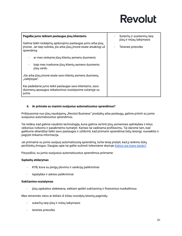| Pagalba jums teikiant paslaugas jūsų klientams                                                                                               | Sutarčių ir susitarimų tarp<br>jūsų ir mūsų laikymasis |
|----------------------------------------------------------------------------------------------------------------------------------------------|--------------------------------------------------------|
| Galime teikti mokėjimų apdorojimo paslaugas jums arba jūsų<br>jmonei. Jei taip nutinka, jūs arba jūsų įmonė esate atsakingi už<br>sprendima: | Teisinės prievolės                                     |
| ar mes renkame jūsų klientų asmens duomenis                                                                                                  |                                                        |
| kaip mes tvarkome jūsų klientų asmens duomenis<br>jūsų vardu                                                                                 |                                                        |
| Jūs arba jūsų įmonė esate savo klientų asmens duomenų<br>"valdytojas".                                                                       |                                                        |
| Kai padedame jums teikti paslaugas savo klientams, savo<br>duomenų apsaugos reikalavimus nustatysime sutartyje su<br>jumis.                  |                                                        |

### <span id="page-30-0"></span>**6. Ar priimate su manimi susijusius automatizuotus sprendimus?**

Priklausomai nuo jūsų naudojamų "Revolut Business" produktų arba paslaugų, galime priimti su jumis susijusius automatizuotus sprendimus.

Tai reiškia, kad galime naudotis technologija, kuria galima vertinti jūsų asmenines aplinkybes ir kitus veiksnius rizikoms ir pasekmėms numatyti. Kartais tai vadinama profiliavimu. Tai darome tam, kad galėtume sklandžiai teikti savo paslaugas ir užtikrinti, kad priimami sprendimai būtų teisingi, nuoseklūs ir pagrįsti tinkama informacija.

Jei priimame su jumis susijusį automatizuotą sprendimą, turite teisę prašyti, kad jį rankiniu būtų peržiūrėtų žmogus. Daugiau apie tai galite sužinoti tolesniame skyriuje *Kokios yra mano [teisės?](#page-32-0)*.

Pavyzdžiui, su jumis susijusius automatizuotus sprendimus priimame:

### **Sąskaitų atidarymas**

- KYB, kova su pinigų plovimu ir sankcijų patikrinimai
- tapatybės ir adreso patikrinimai

### **Sukčiavimo nustatymas**

jūsų sąskaitos stebėsena, siekiant aptikti sukčiavimą ir finansinius nusikaltimus

Mes remsimės vienu ar keliais iš toliau nurodytų teisinių pagrindų:

- sutarčių tarp jūsų ir mūsų laikymasis
- teisinės prievolės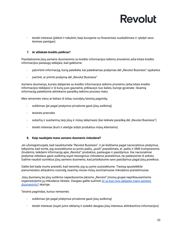- teisėti interesai (plėtoti ir tobulinti, kaip kovojame su finansiniais nusikaltimais ir vykdyti savo teisines pareigas)

### <span id="page-31-0"></span>**7. Ar atliekate kredito patikras?**

Pasidalinsime jūsų asmens duomenimis su kredito informacijos teikimo įmonėmis arba kitais kredito informacijos paslaugų teikėjais, kad galėtume:

- patvirtinti informaciją, kurią pateikėte, kai pateikiamas prašymas dėl "Revolut Business" sąskaitos
- jvertinti, ar priimti prašymą dėl "Revolut Business"

Asmens duomenys, kuriais dalijamės su kredito informacijos teikimo įmonėms (arba kitais kredito informacijos teikėjais) ir iš kurių juos gauname, priklausys nuo šalies, kurioje gyvenate. Išsamią informaciją pateiksime atitinkamo paraiškų teikimo proceso metu.

Mes remsimės vienu ar keliais iš toliau nurodytų teisinių pagrindų:

- sutikimas (jei pagal įstatymus privalome gauti jūsų sutikimą)
- teisinės prievolės
- sutarčių ir susitarimų tarp jūsų ir mūsų laikymasis (kai teikiate paraišką dėl "Revolut Business")
- teisėti interesai (kurti ir ateityje siūlyti produktus mūsų klientams)

### <span id="page-31-1"></span>**8. Kaip naudojate mano asmens duomenis rinkodarai?**

Jei užsiregistruojate, kad naudotumėte "Revolut Business", ir jei leidžiama pagal nacionalinius įstatymus, laikysime, kad norite, jog susisiektume su jumis paštu, "push" pranešimais, el. paštu ir SMS trumposiomis žinutėmis, teikdami informaciją apie "Revolut" produktus, paslaugas ir pasiūlymus. Kai nacionaliniai įstatymai reikalaus gauti sutikimą siųsti tiesioginius rinkodaros pranešimus, tai padarysime iš anksto. Galime naudoti surinktus jūsų asmens duomenis, kad pritaikytume savo pasiūlymus pagal jūsų poreikius.

Galite bet kada mums pranešti, kad nenorite, jog su jumis susisiektume. Tiesiog spustelėkite prenumeratos atšaukimo nuorodą, esančią visose mūsų siunčiamuose rinkodaros pranešimuose.

Jūsų duomenų be jūsų sutikimo neperduosime jokioms "Revolut" įmonių grupei nepriklausančioms organizacijoms jų rinkodaros tikslais. Daugiau galite sužinoti *Ar su kuo nors [dalijatės](#page-34-1) mano asmens [duomenimis?](#page-34-1)* skyriuje.

Teisinis pagrindas, kuriuo remiamės:

- sutikimas (jei pagal įstatymus privalome gauti jūsų sutikimą)
- teisėti interesai (siųsti jums reklamą ir suteikti daugiau jūsų interesus atitinkančios informacijos)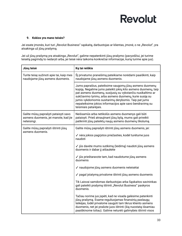### <span id="page-32-0"></span>**9. Kokios yra mano teisės?**

Jei esate įmonės, kuri turi "Revolut Business" sąskaitą, darbuotojas ar klientas, įmonė, o ne "Revolut", yra atsakinga už jūsų prašymą.

Jei už jūsų prašymą yra atsakinga "Revolut", galime nepatenkinti jūsų prašymo (pavyzdžiui, jei turime teisėtą pagrindą to nedaryti arba, jei teisė nėra taikoma konkrečiai informacijai, kurią turime apie jus).

| Jūsų teisė                                                                                  | Ką tai reiškia                                                                                                                                                                                                                                                                                                                                                                                  |
|---------------------------------------------------------------------------------------------|-------------------------------------------------------------------------------------------------------------------------------------------------------------------------------------------------------------------------------------------------------------------------------------------------------------------------------------------------------------------------------------------------|
| Turite teisę sužinoti apie tai, kaip mes<br>naudojame jūsų asmens duomenis.                 | Šį privatumo pranešimą pateikiame norėdami paaiškinti, kaip<br>naudojame jūsų asmens duomenis.                                                                                                                                                                                                                                                                                                  |
|                                                                                             | Jums paprašius, pateiksime saugomų jūsų asmens duomenų<br>kopiją. Negalime jums pateikti jokių kito asmens duomenų, taip<br>pat asmens duomenų, susijusių su vykstančiu nusikaltimo ar<br>sukčiavimo tyrimu, arba asmens duomenų, kurie susiję su<br>jumis vykdomomis susitarimų derybomis. Taip pat jums<br>nepateiksime jokios informacijos apie savo bendravimą su<br>teisiniais patarėjais. |
| Galite mūsų paprašyti pataisyti savo<br>asmens duomenis, jei manote, kad jie<br>neteisingi. | Neišsamūs arba netikslūs asmens duomenys gali būti<br>pataisyti. Prieš atnaujinant jūsų bylą, mums gali prireikti<br>patikrinti jūsų pateiktų naujų asmens duomenų tikslumą.                                                                                                                                                                                                                    |
| Galite mūsų paprašyti ištrinti jūsų                                                         | Galite mūsų paprašyti ištrinti jūsų asmens duomenis, jei:                                                                                                                                                                                                                                                                                                                                       |
| asmens duomenis.                                                                            | √ nėra jokios pagrįstos priežasties, kodėl turėtume juos<br>naudoti                                                                                                                                                                                                                                                                                                                             |
|                                                                                             | √ jūs davėte mums sutikimą (leidimą) naudoti jūsų asmens<br>duomenis ir dabar jį atšaukėte                                                                                                                                                                                                                                                                                                      |
|                                                                                             | √ jūs prieštaravote tam, kad naudotume jūsų asmens<br>duomenis                                                                                                                                                                                                                                                                                                                                  |
|                                                                                             | √ naudojome jūsų asmens duomenis neteisėtai                                                                                                                                                                                                                                                                                                                                                     |
|                                                                                             | √ pagal įstatymą privalome ištrinti jūsų asmens duomenis                                                                                                                                                                                                                                                                                                                                        |
|                                                                                             | Tik Laisvai samdomas darbuotojas arba Sąskaitos savininkas<br>gali pateikti prašymą ištrinti "Revolut Business" paskyros<br>duomenis.                                                                                                                                                                                                                                                           |
|                                                                                             | Tačiau norime jus įspėti, kad ne visada galėsime patenkinti<br>jūsų prašymą. Esame reguliuojamas finansinių paslaugų<br>teikėjas, todėl privalome saugoti tam tikrus kliento asmens<br>duomenis, net jei prašote juos ištrinti (šią nuostatą išsamiau<br>paaiškinome toliau). Galime neturėti galimybės ištrinti visos                                                                          |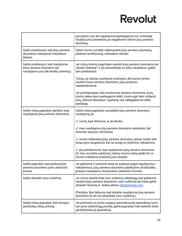|                                                                                                            | jūsų bylos, nes šie reguliaciniai įpareigojimai turi viršenybę.<br>Visada jums pranešime, jei negalėsime ištrinti jūsų asmens<br>duomenų.                                                          |
|------------------------------------------------------------------------------------------------------------|----------------------------------------------------------------------------------------------------------------------------------------------------------------------------------------------------|
| Galite prieštarauti, kad jūsų asmens<br>duomenis tvarkytume rinkodaros<br>tikslais.                        | Galite mums nurodyti nebenaudoti jūsų asmens duomenų,<br>įskaitant profiliavimą, rinkodaros tikslais.                                                                                              |
| Galite prieštarauti, kad tvarkytume<br>kitus asmens duomenis (jei<br>naudojame juos dėl teisėtų interesų). | Jei mūsų teisinis pagrindas naudoti jūsų asmens duomenis yra<br>"teisėti interesai" ir jūs nesutinkate su tokiu naudojimu, galite<br>tam prieštarauti.                                             |
|                                                                                                            | Tačiau, jei atsiras svarbesnė priežastis, dėl kurios turime<br>naudoti šiuos asmens duomenis, jūsų prašymo<br>nepatenkinsime.                                                                      |
|                                                                                                            | Jei prieštaraujate, kad naudotume asmens duomenis, kurių<br>mums reikia savo paslaugoms teikti, mums gali tekti uždaryti<br>jūsų "Revolut Business" sąskaitą, nes nebegalėsime teikti<br>paslaugų. |
| Galite mūsų paprašyti apriboti, kaip<br>naudojame jūsų asmens duomenis.                                    | Galite mūsų paprašyti sustabdyti jūsų asmens duomenų<br>naudojimą, jei:                                                                                                                            |
|                                                                                                            | √ norite, kad ištirtume, ar jie tikslūs                                                                                                                                                            |
|                                                                                                            | √ mes naudojame jūsų asmens duomenis neteisėtai, bet<br>nenorite, kad juos ištrintume                                                                                                              |
|                                                                                                            | √ mums nebereikia jūsų asmens duomenų, tačiau norite, kad<br>toliau juos saugotume, kai tai susiję su teisminiu reikalavimu                                                                        |
|                                                                                                            | ✓ jūs prieštaravote, kad naudotume jūsų asmens duomenis<br>(žr. kas nurodyta aukščiau), tačiau mums reikia patikrinti, ar<br>turime svarbesnę priežastį juos naudoti                               |
| Galite paprašyti, kad perduotume<br>asmens duomenis jums arba kitai<br>įmonei.                             | Jei galėsime ir turėsime teisę tai padaryti pagal reguliacinius<br>reikalavimus, jusų asmens duomenis pateiksime strukturišku,<br>jprastai naudojamu, kompiuterio skaitomu formatu.                |
| Galite atšaukti savo sutikimą.                                                                             | Jei mums davėte kokį nors sutikimą, reikalingą, kad galėtume<br>naudoti jūsų asmens duomenis, savo sutikimą bet kada galite<br>atšaukti išsiuntę el. laišką adresu dpo@revolut.com.                |
|                                                                                                            | (Pastaba. Bus laikoma, kad teisėtai naudojome jūsų asmens<br>duomenis iki tol, kol atšaukėte savo sutikimą.)                                                                                       |
| Galite mūsų paprašyti, kad žmogus<br>peržiūrėtų mūsų priimtą                                               | Jei priimame su jumis susijusį automatizuotą sprendimą, kuris<br>turi jums reikšmingą poveikį, galite paprašyti, kad rankiniu būdu<br>peržiūrėtume šį sprendimą.                                   |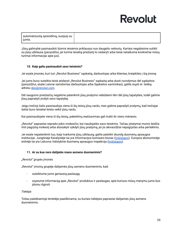Jūsų galimybė pasinaudoti šiomis teisėmis priklausys nuo daugelio veiksnių. Kartais negalėsime sutikti su jūsų užklausa (pavyzdžiui, jei turime teisėtą priežastį to nedaryti arba teisė netaikoma konkrečiai mūsų turimai informacijai apie jus).

### <span id="page-34-0"></span>**10. Kaip galiu pasinaudoti savo teisėmis?**

Jei esate įmonės, kuri turi "Revolut Business" sąskaitą, darbuotojas arba klientas, kreipkitės į šią įmonę.

Jei jums buvo suteikta teisė atidaryti "Revolut Business" sąskaitą arba duoti nurodymus dėl sąskaitos (pavyzdžiui, esate Laisvai samdomas darbuotojas arba Sąskaitos savininkas), galite siųsti el. laišką adresu [dpo@revolut.com](mailto:dpo@revolut.com).

Dėl saugumo priežasčių negalime patenkinti jūsų prašymo nebūdami tikri dėl jūsų tapatybės, todėl galime jūsų paprašyti įrodyti savo tapatybę.

Jeigu trečioji šalis pasinaudoja viena iš šių teisių jūsų vardu, mes galime paprašyti įrodymų, kad trečiajai šaliai buvo teisėtai leista veikti jūsų vardu.

Kai pasinaudojate viena iš šių teisių, pakeitimų realizavimas gali trukti iki vieno mėnesio.

"Revolut" paprastai neprašo jokio mokesčio, kai naudojatės savo teisėmis. Tačiau įstatymai mums leidžia imti pagrįstą mokestį arba atsisakyti vykdyti jūsų prašymą, jei jis akivaizdžiai nepagrįstas arba perteklinis.

Jei esate nepatenkinti tuo, kaip tvarkome jūsų užklausą, galite pateikti skundą duomenų apsaugos institucijai. Jungtinėje Karalystėje tai yra Informacijos komisaro biuras ([tinklalapis\)](https://ico.org.uk/make-a-complaint/). Europos ekonominėje erdvėje tai yra Lietuvos Valstybinė duomenų apsaugos inspekcija [\(tinklalapis](https://vdai.lrv.lt/)).

### <span id="page-34-1"></span>**11. Ar su kuo nors dalijatės mano asmens duomenimis?**

### *"Revolut" grupės įmonės*

"Revolut" įmonių grupėje dalijamės jūsų asmens duomenimis, kad:

- suteiktume jums geriausią paslaugą
- siųstume informaciją apie "Revolut" produktus ir paslaugas, apie kuriuos mūsų manymu jums bus įdomu išgirsti

### *Tiekėjai*

Toliau pateikiamoje lentelėje paaiškinama, su kuriais tiekėjais paprastai dalijamės jūsų asmens duomenimis.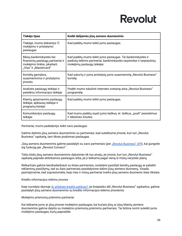| Tiekėjo tipas                                                                                                         | Kodėl dalijamės jūsų asmens duomenimis                                                                                                                                |
|-----------------------------------------------------------------------------------------------------------------------|-----------------------------------------------------------------------------------------------------------------------------------------------------------------------|
| Tiekėjai, mums teikiantys IT,<br>mokėjimo ir pristatymo<br>paslaugas                                                  | Kad padėtų mums teikti jums paslaugas.                                                                                                                                |
| Mūsų bankininkystės bei<br>finansinių paslaugų partneriai ir<br>mokėjimo tinklai, įskaitant<br>"Visa" ir "Mastercard" | Kad padėtų mums teikti jums paslaugas. Tai bankininkystės ir<br>paskolų teikimo partneriai, bankininkystės tarpininkai ir tarptautinių<br>mokėjimų paslaugų teikėjai. |
| Kortelių gamybos,<br>suasmeninimo ir pristatymo<br>jmonės                                                             | Kad sukurtų ir jums pristatytų jums suasmenintą "Revolut Business"<br>kortelę.                                                                                        |
| Analizės paslaugų teikėjai ir<br>paieškos informacijos teikėjai                                                       | Padėti mums tobulinti interneto svetainę arba "Revolut Business"<br>programėlę.                                                                                       |
| Klientų aptarnavimo paslaugų<br>teikėjai, apklausų teikėjai ir<br>programų kūrėjai                                    | Kad padėtų mums teikti jums paslaugas.                                                                                                                                |
| Komunikacijos paslaugų<br>teikėjai                                                                                    | Kad mums padėtų siųsti jums laiškus, el. laiškus, "push" pranešimus<br>ir tekstines žinutes.                                                                          |

### *Partneriai, mums padedantys teikti savo paslaugas*

Galime dalintis jūsų asmens duomenimis su partneriais, kad suteiktume įmonei, kuri turi "Revolut Business" sąskaitą, tam tikras prašomas paslaugas.

Jūsų asmens duomenimis galime pasidalyti su savo partneriais (per "Revolut [Business"](https://www.revolut.com/business/business-api) API), kai jiungsite šią funkciją per "Revolut Connect".

Tokiu būdu jūsų asmens duomenimis dalysimės tik tuo atveju, jei įmonė, kuri turi "Revolut Business" sąskaitą paprašė atitinkamos paslaugos arba, jei ji teikiama pagal vieną iš mūsų narystės planų.

Retkarčiais galime bendradarbiauti su kitais partneriais, norėdami pasiūlyti bendrų paslaugų ar pateikti reklaminių pasiūlymų, tad su šiais partneriais pasidalysime dalimi jūsų asmens duomenų. Visada pasirūpinsime, kad suprastumėte, kaip mes ir mūsų partneriai tvarko jūsų asmens duomenis šiais tikslais.

### *Kredito informacijos teikimo įmonės*

Kaip nurodyta skyriuje *Ar atliekate kredito [patikras?](#page-31-0)*, jei kreipiatės dėl "Revolut Business" sąskaitos, galime pasidalyti jūsų asmens duomenimis su kredito informacijos teikimo įmonėmis.

### *Mokėjimo priemonių priėmimo partneriai*

Kai teikiame jums ar jūsų įmonei mokėjimo paslaugas, kai kuriais jūsų ar jūsų klientų asmens duomenimis galime dalytis su mokėjimo priemonių priėmimo partneriais. Tai būtina norint suteikti jums mokėjimo paslaugas, kurių paprašėte.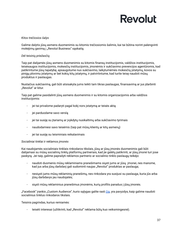### *Kitos trečiosios šalys*

Galime dalytis jūsų asmens duomenimis su kitomis trečiosiomis šalimis, kai tai būtina norint palengvinti mokėjimų gavimą į "Revolut Business" sąskaitą.

### *Dėl teisinių priežasčių*

Taip pat dalijamės jūsų asmens duomenimis su kitomis finansų institucijomis, valdžios institucijomis, teisėsaugos institucijomis, mokesčių institucijomis, įmonėmis ir sukčiavimo prevencijos agentūromis, kad patikrintume jūsų tapatybę, apsaugotume nuo sukčiavimo, laikytumėmės mokesčių įstatymų, kovos su pinigų plovimu įstatymų ar bet kokių kitų įstatymų, ir patvirtintume, kad turite teisę naudoti mūsų produktus ir paslaugas.

Nustačius sukčiavimą, gali būti atsisakyta jums teikti tam tikras paslaugas, finansavimą ar jus įdarbinti "Revolut" ar kitur.

Taip pat galime pasidalinti jūsų asmens duomenimis ir su kitomis organizacijomis arba valdžios institucijomis:

- jei tai privalome padaryti pagal kokį nors įstatymą ar teisės aktą
- jei parduodame savo verslą
- jei tai susiję su įtariamų ar įvykdytų nusikaltimų arba sukčiavimo tyrimais
- naudodamiesi savo teisėmis (taip pat mūsų klientų ar kitų asmenų)
- jei tai susiję su teisminiais reikalavimais

### *Socialiniai tinklai ir reklamos įmonės*

Kai naudojamės socialiniais tinklais rinkodaros tikslais, jūsų ar jūsų įmonės duomenimis gali būti dalijamasi su mūsų socialinių tinklų platformų partneriais, kad jie galėtų patikrinti, ar jūsų įmonė turi jose paskyrą. Jei taip, galime paprašyti reklamos partnerio ar socialinio tinklo paslaugų teikėjo:

- naudoti duomenis mūsų reklaminiams pranešimams siųsti jums ar jūsų įmonei, nes manome, kad jus arba jūsų darbdavį gali sudominti naujas "Revolut" produktas ar paslauga;
- nesiųsti jums mūsų reklaminių pranešimų, nes rinkodara yra susijusi su paslauga, kuria jūs arba jūsų darbdavys jau naudojatės;
- siųsti mūsų reklaminius pranešimus įmonėms, kurių profilis panašus į jūsų įmonės.

"Facebook" įrankis "Custom Audience", kurio sąlygas galite rasti [čia](https://www.facebook.com/legal/terms/customaudience), yra pavyzdys, kaip galime naudoti socialinius tinklus rinkodaros tikslais.

Teisinis pagrindas, kuriuo remiamės:

- teisėti interesai (užtikrinti, kad "Revolut" reklama būtų kuo veiksmingesnė).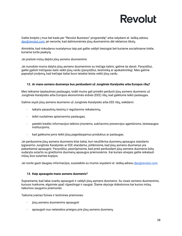Galite kreiptis į mus bet kada per "Revolut Business" programėlę" arba rašydami el. laišką adresu [dpo@revolut.com](mailto:dpo@revolut.com), jei nenorite, kad dalintumėmės jūsų duomenimis dėl reklamos tikslų.

Atminkite, kad rinkodaros nustatymus taip pat galite valdyti tiesiogiai bet kuriame socialiniame tinkle, kuriame turite paskyrą.

### *Jei prašote mūsų dalytis jūsų asmens duomenimis*

Jei nurodote mums dalytis jūsų asmens duomenimis su trečiąja šalimi, galime tai daryti. Pavyzdžiui, galite įgalioti trečiąsias šalis veikti jūsų vardu (pavyzdžiui, teisininką ar apskaitininką). Mes galime paprašyti įrodymų, kad trečiajai šaliai buvo teisėtai leista veikti jūsų vardu.

### <span id="page-37-0"></span>**12. Ar mano asmens duomenys bus perduodami už Jungtinės Karalystės arba Europos ribų?**

Mes teikiame tarptautines paslaugas, todėl mums gali prireikti perduoti jūsų asmens duomenis už Jungtinės Karalystės arba Europos ekonominės erdvės (EEE) ribų, kad galėtume teikti paslaugas.

Galime siųsti jūsų asmens duomenis už Jungtinės Karalystės arba EEE ribų, siekdami:

- laikytis pasaulinių teisinių ir reguliavimo reikalavimų;
- teikti nuolatines aptarnavimo paslaugas;
- pateikti kredito informacijos teikimo įmonėms, sukčiavimo prevencijos agentūroms, teisėsaugos institucijoms;
- kad galėtume jums teikti jūsų pageidaujamus produktus ar paslaugas.

Jei perduosime jūsų asmens duomenis kitai šaliai, kuri neužtikrina duomenų apsaugos standarto lygiaverčio Jungtinės Karalystės ar EEE standartui, įsitikinsime, kad jūsų asmens duomenys yra pakankamai apsaugoti. Pavyzdžiui, pasirūpinsime, kad prieš perduodant jūsų asmens duomenis būtų sudaryta sutartis su griežtomis duomenų apsaugos priemonėmis. Kai kuriais atvejais galite reikalauti mūsų šios sutarties kopijos.

Jei norite gauti daugiau informacijos, susisiekite su mumis siųsdami el. laišką adresu [dpo@revolut.com.](mailto:dpo@revolut.com)

### <span id="page-37-1"></span>**13. Kaip apsaugote mano asmens duomenis?**

Suprantame, kad labai svarbu apsaugoti ir valdyti jūsų asmens duomenis. Su visais asmens duomenimis, kuriuos tvarkome, elgsimės ypač rūpestingai ir saugiai. Šiame skyriuje išdėstomos kai kurios mūsų taikomos saugumo priemonės.

Taikome įvairias fizines ir technines priemones:

- jūsų asmens duomenims apsaugoti
- apsaugoti nuo neteisėtos prieigos prie jūsų asmens duomenų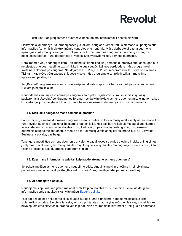

užtikrinti, kad jūsų asmens duomenys nenaudojami netinkamai ir neatskleidžiami

Elektroniniai duomenys ir duomenų bazės yra laikomi saugiose kompiuterių sistemose, su prieigos prie informacijos fizinėmis ir elektroninėmis kontrolės priemonėmis. Mūsų darbuotojai gauna duomenų apsaugos ir informacijos saugumo mokymus. Taikome išsamias saugumo ir duomenų apsaugos politikos nuostatas, kurių darbuotojai privalo laikytis tvarkydami jūsų asmens duomenis.

Nors imamės visų pagrįstų veiksmų, siekdami užtikrinti, kad jūsų asmens duomenys būtų apsaugoti nuo neteisėtos prieigos, negalime užtikrinti, kad jie bus saugūs, kai juos perduodate mūsų programėlei, svetainei ar kitoms paslaugoms. Naudojamės HTTPS ("HTTP Secure") protokolu, kuris yra šifruojamas TLS tam, kad ryšys būtų saugus tinkluose, visoje mūsų programėlėje, tinkle ir teikiant mokėjimų apdorojimo paslaugas.

Jei "Revolut" programėlėje ar mūsų svetainėje naudojate slaptažodį, turite saugoti jo konfidencialumą. Niekam jo neatskleiskite.

Naudodamiesi mūsų viešosiomis paslaugomis, taip pat susijusiomis su mūsų socialinių tinklų paskyromis ir "Revolut" bendruomenės forumu, nesidalykite jokiais asmens duomenimis, jei nenorite, kad kiti vartotojai juos matytų, rinktų arba naudotų, nes šie asmens duomenys taps viešai prieinami.

### <span id="page-38-0"></span>**14. Kiek laiko saugosite mano asmens duomenis?**

Paprastai jūsų asmens duomenis saugome šešerius metus po to, kai mūsų verslo santykiai su įmone, kuri turi "Revolut Business" sąskaitą, baigiami, arba tiek laiko, kiek gali būti reikalaujama pagal atitinkamos šalies įstatymus. Tačiau jei naudojatės mūsų Lietuvos grupės įmonių paslaugomis, jūsų asmens duomenis saugosime aštuonerius metus po to, kai mūsų verslo santykiai su įmone, kuri turi "Revolut Business" sąskaitą, pasibaigs.

Taip ilgai saugoti jūsų asmens duomenis privalome pagal kovos su pinigų plovimu ir elektroninių pinigų įstatymus. Jei atsirastų teisminių reikalavimų tikimybė, vyktų reikalavimo nagrinėjimas ar atsirastų kita teisinė priežastis, jūsų duomenis saugotume ilgiau.

### <span id="page-38-1"></span>**15. Kaip mane informuosite apie tai, kaip naudojate mano asmens duomenis?**

Jei pakeisime jūsų asmens duomenų naudojimo būdą, atnaujinsime šį pranešimą ir, jei reikalinga, pranešime jums apie tai el. paštu, "Revolut Business" programėlėje arba per mūsų svetainę.

### <span id="page-38-2"></span>**16. Ar naudojate slapukus?**

Naudojame slapukus, kad galėtume analizuoti, kaip naudojatės mūsų svetaine. Jei reikia daugiau informacijos apie slapukus, skaitykite mūsų [Slapukų](https://www.revolut.com/legal/cookies-policy) politika.

Taip pat tiesioginės rinkodaros el. laiškuose, kuriuos jums siunčiame, naudojame pikselius arba žiniatinklio švyturius. Šie pikseliai seka, ar buvo pristatytas ir atidarytas mūsų el. laiškas, ir ar el. laiške buvo spustelėtos aktyvios nuorodos. Jie taip pat leidžia mums rinkti informaciją, tokią kaip IP adresas,